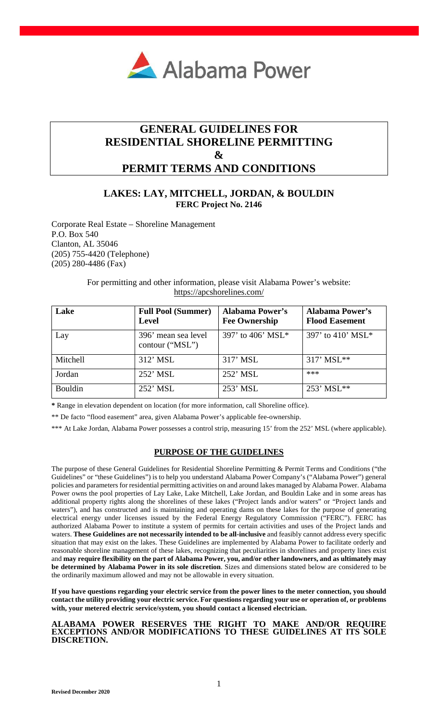

# **GENERAL GUIDELINES FOR RESIDENTIAL SHORELINE PERMITTING & PERMIT TERMS AND CONDITIONS**

# **LAKES: LAY, MITCHELL, JORDAN, & BOULDIN FERC Project No. 2146**

Corporate Real Estate – Shoreline Management P.O. Box 540 Clanton, AL 35046 (205) 755-4420 (Telephone) (205) 280-4486 (Fax)

> For permitting and other information, please visit Alabama Power's website: <https://apcshorelines.com/>

| Lake           | <b>Full Pool (Summer)</b><br><b>Level</b> | <b>Alabama Power's</b><br><b>Fee Ownership</b> | <b>Alabama Power's</b><br><b>Flood Easement</b> |
|----------------|-------------------------------------------|------------------------------------------------|-------------------------------------------------|
| Lay            | 396' mean sea level<br>contour ("MSL")    | 397' to 406' MSL*                              | 397' to 410' MSL*                               |
| Mitchell       | $312'$ MSL                                | $317'$ MSL                                     | $317'$ MSL**                                    |
| Jordan         | $252'$ MSL                                | $252'$ MSL                                     | ***                                             |
| <b>Bouldin</b> | $252'$ MSL                                | $253'$ MSL                                     | 253' MSL**                                      |

**\*** Range in elevation dependent on location (for more information, call Shoreline office).

\*\* De facto "flood easement" area, given Alabama Power's applicable fee-ownership.

\*\*\* At Lake Jordan, Alabama Power possesses a control strip, measuring 15' from the 252' MSL (where applicable).

## **PURPOSE OF THE GUIDELINES**

The purpose of these General Guidelines for Residential Shoreline Permitting & Permit Terms and Conditions ("the Guidelines" or "these Guidelines") is to help you understand Alabama Power Company's ("Alabama Power") general policies and parameters for residential permitting activities on and around lakes managed by Alabama Power. Alabama Power owns the pool properties of Lay Lake, Lake Mitchell, Lake Jordan, and Bouldin Lake and in some areas has additional property rights along the shorelines of these lakes ("Project lands and/or waters" or "Project lands and waters"), and has constructed and is maintaining and operating dams on these lakes for the purpose of generating electrical energy under licenses issued by the Federal Energy Regulatory Commission ("FERC"). FERC has authorized Alabama Power to institute a system of permits for certain activities and uses of the Project lands and waters. **These Guidelines are not necessarily intended to be all-inclusive** and feasibly cannot address every specific situation that may exist on the lakes. These Guidelines are implemented by Alabama Power to facilitate orderly and reasonable shoreline management of these lakes, recognizing that peculiarities in shorelines and property lines exist and **may require flexibility on the part of Alabama Power, you, and/or other landowners, and as ultimately may be determined by Alabama Power in its sole discretion**. Sizes and dimensions stated below are considered to be the ordinarily maximum allowed and may not be allowable in every situation.

**If you have questions regarding your electric service from the power lines to the meter connection, you should contact the utility providing your electric service. For questions regarding your use or operation of, or problems with, your metered electric service/system, you should contact a licensed electrician.** 

## **ALABAMA POWER RESERVES THE RIGHT TO MAKE AND/OR REQUIRE EXCEPTIONS AND/OR MODIFICATIONS TO THESE GUIDELINES AT ITS SOLE DISCRETION.**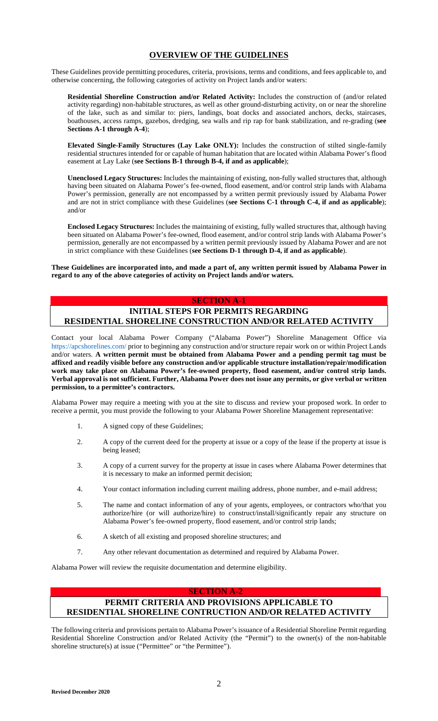# **OVERVIEW OF THE GUIDELINES**

These Guidelines provide permitting procedures, criteria, provisions, terms and conditions, and fees applicable to, and otherwise concerning, the following categories of activity on Project lands and/or waters:

**Residential Shoreline Construction and/or Related Activity:** Includes the construction of (and/or related activity regarding) non-habitable structures, as well as other ground-disturbing activity, on or near the shoreline of the lake, such as and similar to: piers, landings, boat docks and associated anchors, decks, staircases, boathouses, access ramps, gazebos, dredging, sea walls and rip rap for bank stabilization, and re-grading (**see Sections A-1 through A-4**);

**Elevated Single-Family Structures (Lay Lake ONLY):** Includes the construction of stilted single-family residential structures intended for or capable of human habitation that are located within Alabama Power's flood easement at Lay Lake (**see Sections B-1 through B-4, if and as applicable**);

**Unenclosed Legacy Structures:** Includes the maintaining of existing, non-fully walled structures that, although having been situated on Alabama Power's fee-owned, flood easement, and/or control strip lands with Alabama Power's permission, generally are not encompassed by a written permit previously issued by Alabama Power and are not in strict compliance with these Guidelines (**see Sections C-1 through C-4, if and as applicable**); and/or

**Enclosed Legacy Structures:** Includes the maintaining of existing, fully walled structures that, although having been situated on Alabama Power's fee-owned, flood easement, and/or control strip lands with Alabama Power's permission, generally are not encompassed by a written permit previously issued by Alabama Power and are not in strict compliance with these Guidelines (**see Sections D-1 through D-4, if and as applicable**).

**These Guidelines are incorporated into, and made a part of, any written permit issued by Alabama Power in regard to any of the above categories of activity on Project lands and/or waters.** 

## **SECTION A-1**

# **INITIAL STEPS FOR PERMITS REGARDING RESIDENTIAL SHORELINE CONSTRUCTION AND/OR RELATED ACTIVITY**

[Contact your local Ala](https://apcshorelines.com/)bama Power Company ("Alabama Power") Shoreline Management Office via https://apcshorelines.com/ prior to beginning any construction and/or structure repair work on or within Project Lands and/or waters. **A written permit must be obtained from Alabama Power and a pending permit tag must be affixed and readily visible before any construction and/or applicable structure installation/repair/modification work may take place on Alabama Power's fee-owned property, flood easement, and/or control strip lands. Verbal approval is not sufficient. Further, Alabama Power does not issue any permits, or give verbal or written permission, to a permittee's contractors.**

Alabama Power may require a meeting with you at the site to discuss and review your proposed work. In order to receive a permit, you must provide the following to your Alabama Power Shoreline Management representative:

- 1. A signed copy of these Guidelines;
- 2. A copy of the current deed for the property at issue or a copy of the lease if the property at issue is being leased;
- 3. A copy of a current survey for the property at issue in cases where Alabama Power determines that it is necessary to make an informed permit decision;
- 4. Your contact information including current mailing address, phone number, and e-mail address;
- 5. The name and contact information of any of your agents, employees, or contractors who/that you authorize/hire (or will authorize/hire) to construct/install/significantly repair any structure on Alabama Power's fee-owned property, flood easement, and/or control strip lands;
- 6. A sketch of all existing and proposed shoreline structures; and
- 7. Any other relevant documentation as determined and required by Alabama Power.

Alabama Power will review the requisite documentation and determine eligibility.

### **SECTION A-2**

# **PERMIT CRITERIA AND PROVISIONS APPLICABLE TO RESIDENTIAL SHORELINE CONTRUCTION AND/OR RELATED ACTIVITY**

The following criteria and provisions pertain to Alabama Power's issuance of a Residential Shoreline Permit regarding Residential Shoreline Construction and/or Related Activity (the "Permit") to the owner(s) of the non-habitable shoreline structure(s) at issue ("Permittee" or "the Permittee").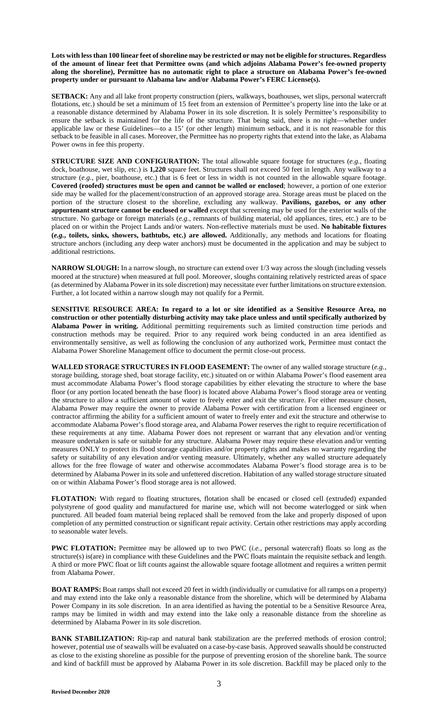**Lots with less than 100 linear feet of shoreline may be restricted or may not be eligible for structures. Regardless of the amount of linear feet that Permittee owns (and which adjoins Alabama Power's fee-owned property along the shoreline), Permittee has no automatic right to place a structure on Alabama Power's fee-owned property under or pursuant to Alabama law and/or Alabama Power's FERC License(s).** 

**SETBACK:** Any and all lake front property construction (piers, walkways, boathouses, wet slips, personal watercraft flotations, etc.) should be set a minimum of 15 feet from an extension of Permittee's property line into the lake or at a reasonable distance determined by Alabama Power in its sole discretion. It is solely Permittee's responsibility to ensure the setback is maintained for the life of the structure. That being said, there is no right—whether under applicable law or these Guidelines—to a 15' (or other length) minimum setback, and it is not reasonable for this setback to be feasible in all cases. Moreover, the Permittee has no property rights that extend into the lake, as Alabama Power owns in fee this property.

**STRUCTURE SIZE AND CONFIGURATION:** The total allowable square footage for structures (e.g., floating dock, boathouse, wet slip, etc.) is **1,220** square feet. Structures shall not exceed 50 feet in length. Any walkway to a structure (*e.g.*, pier, boathouse, etc.) that is 6 feet or less in width is not counted in the allowable square footage. **Covered (roofed) structures must be open and cannot be walled or enclosed**; however, a portion of one exterior side may be walled for the placement/construction of an approved storage area. Storage areas must be placed on the portion of the structure closest to the shoreline, excluding any walkway. **Pavilions, gazebos, or any other appurtenant structure cannot be enclosed or walled** except that screening may be used for the exterior walls of the structure. No garbage or foreign materials (*e.g.*, remnants of building material, old appliances, tires, etc.) are to be placed on or within the Project Lands and/or waters. Non-reflective materials must be used. **No habitable fixtures (***e.g.***, toilets, sinks, showers, bathtubs, etc.) are allowed.** Additionally, any methods and locations for floating structure anchors (including any deep water anchors) must be documented in the application and may be subject to additional restrictions.

**NARROW SLOUGH:** In a narrow slough, no structure can extend over 1/3 way across the slough (including vessels moored at the structure) when measured at full pool. Moreover, sloughs containing relatively restricted areas of space (as determined by Alabama Power in its sole discretion) may necessitate ever further limitations on structure extension. Further, a lot located within a narrow slough may not qualify for a Permit.

**SENSITIVE RESOURCE AREA: In regard to a lot or site identified as a Sensitive Resource Area, no construction or other potentially disturbing activity may take place unless and until specifically authorized by Alabama Power in writing.** Additional permitting requirements such as limited construction time periods and construction methods may be required. Prior to any required work being conducted in an area identified as environmentally sensitive, as well as following the conclusion of any authorized work, Permittee must contact the Alabama Power Shoreline Management office to document the permit close-out process.

**WALLED STORAGE STRUCTURES IN FLOOD EASEMENT:** The owner of any walled storage structure (*e.g.*, storage building, storage shed, boat storage facility, etc.) situated on or within Alabama Power's flood easement area must accommodate Alabama Power's flood storage capabilities by either elevating the structure to where the base floor (or any portion located beneath the base floor) is located above Alabama Power's flood storage area or venting the structure to allow a sufficient amount of water to freely enter and exit the structure. For either measure chosen, Alabama Power may require the owner to provide Alabama Power with certification from a licensed engineer or contractor affirming the ability for a sufficient amount of water to freely enter and exit the structure and otherwise to accommodate Alabama Power's flood storage area, and Alabama Power reserves the right to require recertification of these requirements at any time. Alabama Power does not represent or warrant that any elevation and/or venting measure undertaken is safe or suitable for any structure. Alabama Power may require these elevation and/or venting measures ONLY to protect its flood storage capabilities and/or property rights and makes no warranty regarding the safety or suitability of any elevation and/or venting measure. Ultimately, whether any walled structure adequately allows for the free flowage of water and otherwise accommodates Alabama Power's flood storage area is to be determined by Alabama Power in its sole and unfettered discretion. Habitation of any walled storage structure situated on or within Alabama Power's flood storage area is not allowed.

**FLOTATION:** With regard to floating structures, flotation shall be encased or closed cell (extruded) expanded polystyrene of good quality and manufactured for marine use, which will not become waterlogged or sink when punctured. All beaded foam material being replaced shall be removed from the lake and properly disposed of upon completion of any permitted construction or significant repair activity. Certain other restrictions may apply according to seasonable water levels.

**PWC FLOTATION:** Permittee may be allowed up to two PWC (*i.e.*, personal watercraft) floats so long as the structure(s) is(are) in compliance with these Guidelines and the PWC floats maintain the requisite setback and length. A third or more PWC float or lift counts against the allowable square footage allotment and requires a written permit from Alabama Power.

**BOAT RAMPS:** Boat ramps shall not exceed 20 feet in width (individually or cumulative for all ramps on a property) and may extend into the lake only a reasonable distance from the shoreline, which will be determined by Alabama Power Company in its sole discretion. In an area identified as having the potential to be a Sensitive Resource Area, ramps may be limited in width and may extend into the lake only a reasonable distance from the shoreline as determined by Alabama Power in its sole discretion.

**BANK STABILIZATION:** Rip-rap and natural bank stabilization are the preferred methods of erosion control; however, potential use of seawalls will be evaluated on a case-by-case basis. Approved seawalls should be constructed as close to the existing shoreline as possible for the purpose of preventing erosion of the shoreline bank. The source and kind of backfill must be approved by Alabama Power in its sole discretion. Backfill may be placed only to the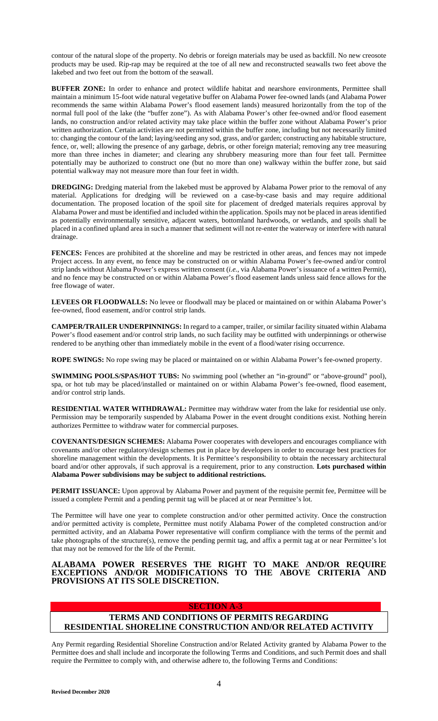contour of the natural slope of the property. No debris or foreign materials may be used as backfill. No new creosote products may be used. Rip-rap may be required at the toe of all new and reconstructed seawalls two feet above the lakebed and two feet out from the bottom of the seawall.

**BUFFER ZONE:** In order to enhance and protect wildlife habitat and nearshore environments, Permittee shall maintain a minimum 15-foot wide natural vegetative buffer on Alabama Power fee-owned lands (and Alabama Power recommends the same within Alabama Power's flood easement lands) measured horizontally from the top of the normal full pool of the lake (the "buffer zone"). As with Alabama Power's other fee-owned and/or flood easement lands, no construction and/or related activity may take place within the buffer zone without Alabama Power's prior written authorization. Certain activities are not permitted within the buffer zone, including but not necessarily limited to: changing the contour of the land; laying/seeding any sod, grass, and/or garden; constructing any habitable structure, fence, or, well; allowing the presence of any garbage, debris, or other foreign material; removing any tree measuring more than three inches in diameter; and clearing any shrubbery measuring more than four feet tall. Permittee potentially may be authorized to construct one (but no more than one) walkway within the buffer zone, but said potential walkway may not measure more than four feet in width.

**DREDGING:** Dredging material from the lakebed must be approved by Alabama Power prior to the removal of any material. Applications for dredging will be reviewed on a case-by-case basis and may require additional documentation. The proposed location of the spoil site for placement of dredged materials requires approval by Alabama Power and must be identified and included within the application. Spoils may not be placed in areas identified as potentially environmentally sensitive, adjacent waters, bottomland hardwoods, or wetlands, and spoils shall be placed in a confined upland area in such a manner that sediment will not re-enter the waterway or interfere with natural drainage.

**FENCES:** Fences are prohibited at the shoreline and may be restricted in other areas, and fences may not impede Project access. In any event, no fence may be constructed on or within Alabama Power's fee-owned and/or control strip lands without Alabama Power's express written consent (*i.e.*, via Alabama Power's issuance of a written Permit), and no fence may be constructed on or within Alabama Power's flood easement lands unless said fence allows for the free flowage of water.

**LEVEES OR FLOODWALLS:** No levee or floodwall may be placed or maintained on or within Alabama Power's fee-owned, flood easement, and/or control strip lands.

**CAMPER/TRAILER UNDERPINNINGS:** In regard to a camper, trailer, or similar facility situated within Alabama Power's flood easement and/or control strip lands, no such facility may be outfitted with underpinnings or otherwise rendered to be anything other than immediately mobile in the event of a flood/water rising occurrence.

**ROPE SWINGS:** No rope swing may be placed or maintained on or within Alabama Power's fee-owned property.

**SWIMMING POOLS/SPAS/HOT TUBS:** No swimming pool (whether an "in-ground" or "above-ground" pool), spa, or hot tub may be placed/installed or maintained on or within Alabama Power's fee-owned, flood easement, and/or control strip lands.

**RESIDENTIAL WATER WITHDRAWAL:** Permittee may withdraw water from the lake for residential use only. Permission may be temporarily suspended by Alabama Power in the event drought conditions exist. Nothing herein authorizes Permittee to withdraw water for commercial purposes.

**COVENANTS/DESIGN SCHEMES:** Alabama Power cooperates with developers and encourages compliance with covenants and/or other regulatory/design schemes put in place by developers in order to encourage best practices for shoreline management within the developments. It is Permittee's responsibility to obtain the necessary architectural board and/or other approvals, if such approval is a requirement, prior to any construction. **Lots purchased within Alabama Power subdivisions may be subject to additional restrictions.** 

**PERMIT ISSUANCE:** Upon approval by Alabama Power and payment of the requisite permit fee, Permittee will be issued a complete Permit and a pending permit tag will be placed at or near Permittee's lot.

The Permittee will have one year to complete construction and/or other permitted activity. Once the construction and/or permitted activity is complete, Permittee must notify Alabama Power of the completed construction and/or permitted activity, and an Alabama Power representative will confirm compliance with the terms of the permit and take photographs of the structure(s), remove the pending permit tag, and affix a permit tag at or near Permittee's lot that may not be removed for the life of the Permit.

## **ALABAMA POWER RESERVES THE RIGHT TO MAKE AND/OR REQUIRE EXCEPTIONS AND/OR MODIFICATIONS TO THE ABOVE CRITERIA AND PROVISIONS AT ITS SOLE DISCRETION.**

## **SECTION A-3**

# **TERMS AND CONDITIONS OF PERMITS REGARDING RESIDENTIAL SHORELINE CONSTRUCTION AND/OR RELATED ACTIVITY**

Any Permit regarding Residential Shoreline Construction and/or Related Activity granted by Alabama Power to the Permittee does and shall include and incorporate the following Terms and Conditions, and such Permit does and shall require the Permittee to comply with, and otherwise adhere to, the following Terms and Conditions: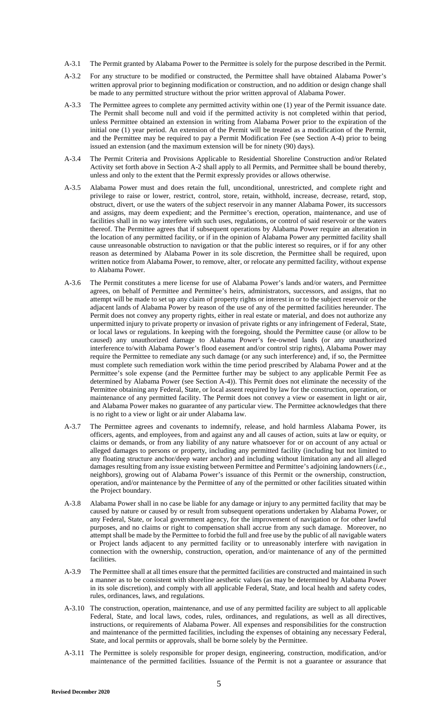- A-3.1 The Permit granted by Alabama Power to the Permittee is solely for the purpose described in the Permit.
- A-3.2 For any structure to be modified or constructed, the Permittee shall have obtained Alabama Power's written approval prior to beginning modification or construction, and no addition or design change shall be made to any permitted structure without the prior written approval of Alabama Power.
- A-3.3 The Permittee agrees to complete any permitted activity within one (1) year of the Permit issuance date. The Permit shall become null and void if the permitted activity is not completed within that period, unless Permittee obtained an extension in writing from Alabama Power prior to the expiration of the initial one (1) year period. An extension of the Permit will be treated as a modification of the Permit, and the Permittee may be required to pay a Permit Modification Fee (see Section A-4) prior to being issued an extension (and the maximum extension will be for ninety (90) days).
- A-3.4 The Permit Criteria and Provisions Applicable to Residential Shoreline Construction and/or Related Activity set forth above in Section A-2 shall apply to all Permits, and Permittee shall be bound thereby, unless and only to the extent that the Permit expressly provides or allows otherwise.
- A-3.5 Alabama Power must and does retain the full, unconditional, unrestricted, and complete right and privilege to raise or lower, restrict, control, store, retain, withhold, increase, decrease, retard, stop, obstruct, divert, or use the waters of the subject reservoir in any manner Alabama Power, its successors and assigns, may deem expedient; and the Permittee's erection, operation, maintenance, and use of facilities shall in no way interfere with such uses, regulations, or control of said reservoir or the waters thereof. The Permittee agrees that if subsequent operations by Alabama Power require an alteration in the location of any permitted facility, or if in the opinion of Alabama Power any permitted facility shall cause unreasonable obstruction to navigation or that the public interest so requires, or if for any other reason as determined by Alabama Power in its sole discretion, the Permittee shall be required, upon written notice from Alabama Power, to remove, alter, or relocate any permitted facility, without expense to Alabama Power.
- A-3.6 The Permit constitutes a mere license for use of Alabama Power's lands and/or waters, and Permittee agrees, on behalf of Permittee and Permittee's heirs, administrators, successors, and assigns, that no attempt will be made to set up any claim of property rights or interest in or to the subject reservoir or the adjacent lands of Alabama Power by reason of the use of any of the permitted facilities hereunder. The Permit does not convey any property rights, either in real estate or material, and does not authorize any unpermitted injury to private property or invasion of private rights or any infringement of Federal, State, or local laws or regulations. In keeping with the foregoing, should the Permittee cause (or allow to be caused) any unauthorized damage to Alabama Power's fee-owned lands (or any unauthorized interference to/with Alabama Power's flood easement and/or control strip rights), Alabama Power may require the Permittee to remediate any such damage (or any such interference) and, if so, the Permittee must complete such remediation work within the time period prescribed by Alabama Power and at the Permittee's sole expense (and the Permittee further may be subject to any applicable Permit Fee as determined by Alabama Power (see Section A-4)). This Permit does not eliminate the necessity of the Permittee obtaining any Federal, State, or local assent required by law for the construction, operation, or maintenance of any permitted facility. The Permit does not convey a view or easement in light or air, and Alabama Power makes no guarantee of any particular view. The Permittee acknowledges that there is no right to a view or light or air under Alabama law.
- A-3.7 The Permittee agrees and covenants to indemnify, release, and hold harmless Alabama Power, its officers, agents, and employees, from and against any and all causes of action, suits at law or equity, or claims or demands, or from any liability of any nature whatsoever for or on account of any actual or alleged damages to persons or property, including any permitted facility (including but not limited to any floating structure anchor/deep water anchor) and including without limitation any and all alleged damages resulting from any issue existing between Permittee and Permittee's adjoining landowners (*i.e.*, neighbors), growing out of Alabama Power's issuance of this Permit or the ownership, construction, operation, and/or maintenance by the Permittee of any of the permitted or other facilities situated within the Project boundary.
- A-3.8 Alabama Power shall in no case be liable for any damage or injury to any permitted facility that may be caused by nature or caused by or result from subsequent operations undertaken by Alabama Power, or any Federal, State, or local government agency, for the improvement of navigation or for other lawful purposes, and no claims or right to compensation shall accrue from any such damage. Moreover, no attempt shall be made by the Permittee to forbid the full and free use by the public of all navigable waters or Project lands adjacent to any permitted facility or to unreasonably interfere with navigation in connection with the ownership, construction, operation, and/or maintenance of any of the permitted facilities.
- A-3.9 The Permittee shall at all times ensure that the permitted facilities are constructed and maintained in such a manner as to be consistent with shoreline aesthetic values (as may be determined by Alabama Power in its sole discretion), and comply with all applicable Federal, State, and local health and safety codes, rules, ordinances, laws, and regulations.
- A-3.10 The construction, operation, maintenance, and use of any permitted facility are subject to all applicable Federal, State, and local laws, codes, rules, ordinances, and regulations, as well as all directives, instructions, or requirements of Alabama Power. All expenses and responsibilities for the construction and maintenance of the permitted facilities, including the expenses of obtaining any necessary Federal, State, and local permits or approvals, shall be borne solely by the Permittee.
- A-3.11 The Permittee is solely responsible for proper design, engineering, construction, modification, and/or maintenance of the permitted facilities. Issuance of the Permit is not a guarantee or assurance that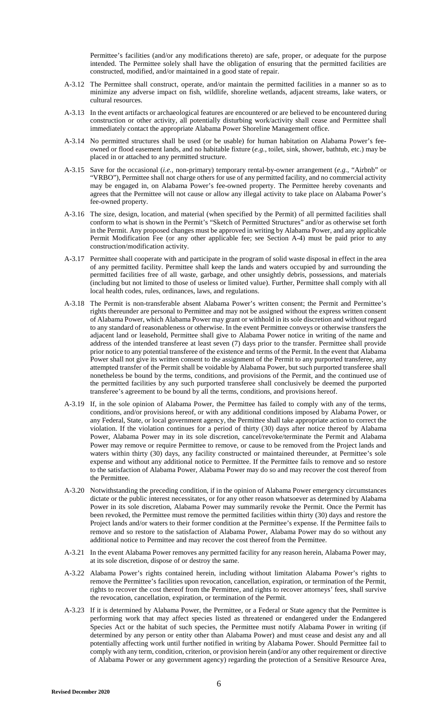Permittee's facilities (and/or any modifications thereto) are safe, proper, or adequate for the purpose intended. The Permittee solely shall have the obligation of ensuring that the permitted facilities are constructed, modified, and/or maintained in a good state of repair.

- A-3.12 The Permittee shall construct, operate, and/or maintain the permitted facilities in a manner so as to minimize any adverse impact on fish, wildlife, shoreline wetlands, adjacent streams, lake waters, or cultural resources.
- A-3.13 In the event artifacts or archaeological features are encountered or are believed to be encountered during construction or other activity, all potentially disturbing work/activity shall cease and Permittee shall immediately contact the appropriate Alabama Power Shoreline Management office.
- A-3.14 No permitted structures shall be used (or be usable) for human habitation on Alabama Power's feeowned or flood easement lands, and no habitable fixture (*e.g.*, toilet, sink, shower, bathtub, etc.) may be placed in or attached to any permitted structure.
- A-3.15 Save for the occasional (*i.e.*, non-primary) temporary rental-by-owner arrangement (*e.g.*, "Airbnb" or "VRBO"), Permittee shall not charge others for use of any permitted facility, and no commercial activity may be engaged in, on Alabama Power's fee-owned property. The Permittee hereby covenants and agrees that the Permittee will not cause or allow any illegal activity to take place on Alabama Power's fee-owned property.
- A-3.16 The size, design, location, and material (when specified by the Permit) of all permitted facilities shall conform to what is shown in the Permit's "Sketch of Permitted Structures" and/or as otherwise set forth in the Permit. Any proposed changes must be approved in writing by Alabama Power, and any applicable Permit Modification Fee (or any other applicable fee; see Section A-4) must be paid prior to any construction/modification activity.
- A-3.17 Permittee shall cooperate with and participate in the program of solid waste disposal in effect in the area of any permitted facility. Permittee shall keep the lands and waters occupied by and surrounding the permitted facilities free of all waste, garbage, and other unsightly debris, possessions, and materials (including but not limited to those of useless or limited value). Further, Permittee shall comply with all local health codes, rules, ordinances, laws, and regulations.
- A-3.18 The Permit is non-transferable absent Alabama Power's written consent; the Permit and Permittee's rights thereunder are personal to Permittee and may not be assigned without the express written consent of Alabama Power, which Alabama Power may grant or withhold in its sole discretion and without regard to any standard of reasonableness or otherwise. In the event Permittee conveys or otherwise transfers the adjacent land or leasehold, Permittee shall give to Alabama Power notice in writing of the name and address of the intended transferee at least seven (7) days prior to the transfer. Permittee shall provide prior notice to any potential transferee of the existence and terms of the Permit. In the event that Alabama Power shall not give its written consent to the assignment of the Permit to any purported transferee, any attempted transfer of the Permit shall be voidable by Alabama Power, but such purported transferee shall nonetheless be bound by the terms, conditions, and provisions of the Permit, and the continued use of the permitted facilities by any such purported transferee shall conclusively be deemed the purported transferee's agreement to be bound by all the terms, conditions, and provisions hereof.
- A-3.19 If, in the sole opinion of Alabama Power, the Permittee has failed to comply with any of the terms, conditions, and/or provisions hereof, or with any additional conditions imposed by Alabama Power, or any Federal, State, or local government agency, the Permittee shall take appropriate action to correct the violation. If the violation continues for a period of thirty (30) days after notice thereof by Alabama Power, Alabama Power may in its sole discretion, cancel/revoke/terminate the Permit and Alabama Power may remove or require Permittee to remove, or cause to be removed from the Project lands and waters within thirty (30) days, any facility constructed or maintained thereunder, at Permittee's sole expense and without any additional notice to Permittee. If the Permittee fails to remove and so restore to the satisfaction of Alabama Power, Alabama Power may do so and may recover the cost thereof from the Permittee.
- A-3.20 Notwithstanding the preceding condition, if in the opinion of Alabama Power emergency circumstances dictate or the public interest necessitates, or for any other reason whatsoever as determined by Alabama Power in its sole discretion, Alabama Power may summarily revoke the Permit. Once the Permit has been revoked, the Permittee must remove the permitted facilities within thirty (30) days and restore the Project lands and/or waters to their former condition at the Permittee's expense. If the Permittee fails to remove and so restore to the satisfaction of Alabama Power, Alabama Power may do so without any additional notice to Permittee and may recover the cost thereof from the Permittee.
- A-3.21 In the event Alabama Power removes any permitted facility for any reason herein, Alabama Power may, at its sole discretion, dispose of or destroy the same.
- A-3.22 Alabama Power's rights contained herein, including without limitation Alabama Power's rights to remove the Permittee's facilities upon revocation, cancellation, expiration, or termination of the Permit, rights to recover the cost thereof from the Permittee, and rights to recover attorneys' fees, shall survive the revocation, cancellation, expiration, or termination of the Permit.
- A-3.23 If it is determined by Alabama Power, the Permittee, or a Federal or State agency that the Permittee is performing work that may affect species listed as threatened or endangered under the Endangered Species Act or the habitat of such species, the Permittee must notify Alabama Power in writing (if determined by any person or entity other than Alabama Power) and must cease and desist any and all potentially affecting work until further notified in writing by Alabama Power. Should Permittee fail to comply with any term, condition, criterion, or provision herein (and/or any other requirement or directive of Alabama Power or any government agency) regarding the protection of a Sensitive Resource Area,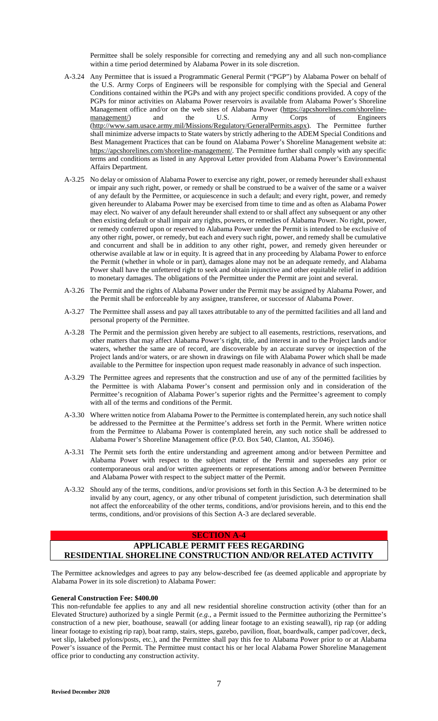Permittee shall be solely responsible for correcting and remedying any and all such non-compliance within a time period determined by Alabama Power in its sole discretion.

- A-3.24 Any Permittee that is issued a Programmatic General Permit ("PGP") by Alabama Power on behalf of the U.S. Army Corps of Engineers will be responsible for complying with the Special and General Conditions contained within the PGPs and with any project specific conditions provided. A copy of the PGPs for minor activities on Alabama Power reservoirs is availab[le from Alabama Power's Shoreline](https://apcshorelines.com/shoreline-management/)  [Management office and/or on the web sites of Alabama Power \(https://apcshorelines.com/shoreline](https://apcshorelines.com/shoreline-management/)management/) and the U.S. Army Corps of Engineers (http://www.sam.usace.army.mil/Missions/Regulatory/GeneralPermits.aspx). The Permittee further shall minimize adverse impacts to State waters by strictly adhering to the ADEM Special Conditions and Best Management Practices that can be found on Alabama Power's Shoreline Management website at: https://apcshorelines.com/shoreline-management/. The Permittee further shall comply with any specific terms and conditions as listed in any Approval Letter provided from Alabama Power's Environmental Affairs Department.
- A-3.25 No delay or omission of Alabama Power to exercise any right, power, or remedy hereunder shall exhaust or impair any such right, power, or remedy or shall be construed to be a waiver of the same or a waiver of any default by the Permittee, or acquiescence in such a default; and every right, power, and remedy given hereunder to Alabama Power may be exercised from time to time and as often as Alabama Power may elect. No waiver of any default hereunder shall extend to or shall affect any subsequent or any other then existing default or shall impair any rights, powers, or remedies of Alabama Power. No right, power, or remedy conferred upon or reserved to Alabama Power under the Permit is intended to be exclusive of any other right, power, or remedy, but each and every such right, power, and remedy shall be cumulative and concurrent and shall be in addition to any other right, power, and remedy given hereunder or otherwise available at law or in equity. It is agreed that in any proceeding by Alabama Power to enforce the Permit (whether in whole or in part), damages alone may not be an adequate remedy, and Alabama Power shall have the unfettered right to seek and obtain injunctive and other equitable relief in addition to monetary damages. The obligations of the Permittee under the Permit are joint and several.
- A-3.26 The Permit and the rights of Alabama Power under the Permit may be assigned by Alabama Power, and the Permit shall be enforceable by any assignee, transferee, or successor of Alabama Power.
- A-3.27 The Permittee shall assess and pay all taxes attributable to any of the permitted facilities and all land and personal property of the Permittee.
- A-3.28 The Permit and the permission given hereby are subject to all easements, restrictions, reservations, and other matters that may affect Alabama Power's right, title, and interest in and to the Project lands and/or waters, whether the same are of record, are discoverable by an accurate survey or inspection of the Project lands and/or waters, or are shown in drawings on file with Alabama Power which shall be made available to the Permittee for inspection upon request made reasonably in advance of such inspection.
- A-3.29 The Permittee agrees and represents that the construction and use of any of the permitted facilities by the Permittee is with Alabama Power's consent and permission only and in consideration of the Permittee's recognition of Alabama Power's superior rights and the Permittee's agreement to comply with all of the terms and conditions of the Permit.
- A-3.30 Where written notice from Alabama Power to the Permittee is contemplated herein, any such notice shall be addressed to the Permittee at the Permittee's address set forth in the Permit. Where written notice from the Permittee to Alabama Power is contemplated herein, any such notice shall be addressed to Alabama Power's Shoreline Management office (P.O. Box 540, Clanton, AL 35046).
- A-3.31 The Permit sets forth the entire understanding and agreement among and/or between Permittee and Alabama Power with respect to the subject matter of the Permit and supersedes any prior or contemporaneous oral and/or written agreements or representations among and/or between Permittee and Alabama Power with respect to the subject matter of the Permit.
- A-3.32 Should any of the terms, conditions, and/or provisions set forth in this Section A-3 be determined to be invalid by any court, agency, or any other tribunal of competent jurisdiction, such determination shall not affect the enforceability of the other terms, conditions, and/or provisions herein, and to this end the terms, conditions, and/or provisions of this Section A-3 are declared severable.

#### **SECTION A-4**

## **APPLICABLE PERMIT FEES REGARDING RESIDENTIAL SHORELINE CONSTRUCTION AND/OR RELATED ACTIVITY**

The Permittee acknowledges and agrees to pay any below-described fee (as deemed applicable and appropriate by Alabama Power in its sole discretion) to Alabama Power:

### **General Construction Fee: \$400.00**

This non-refundable fee applies to any and all new residential shoreline construction activity (other than for an Elevated Structure) authorized by a single Permit (*e.g.*, a Permit issued to the Permittee authorizing the Permittee's construction of a new pier, boathouse, seawall (or adding linear footage to an existing seawall), rip rap (or adding linear footage to existing rip rap), boat ramp, stairs, steps, gazebo, pavilion, float, boardwalk, camper pad/cover, deck, wet slip, lakebed pylons/posts, etc.), and the Permittee shall pay this fee to Alabama Power prior to or at Alabama Power's issuance of the Permit. The Permittee must contact his or her local Alabama Power Shoreline Management office prior to conducting any construction activity.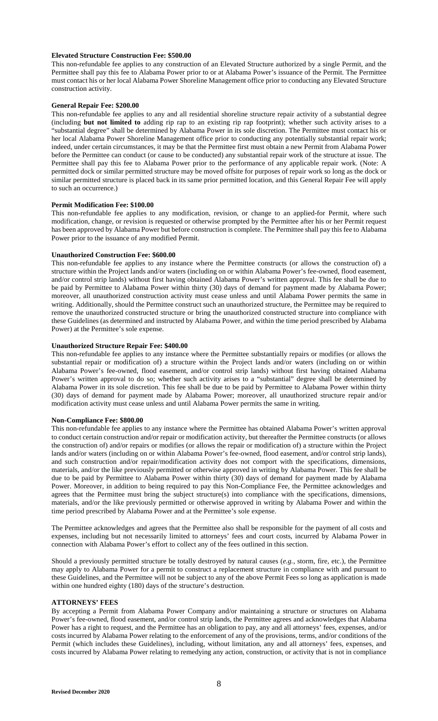#### **Elevated Structure Construction Fee: \$500.00**

This non-refundable fee applies to any construction of an Elevated Structure authorized by a single Permit, and the Permittee shall pay this fee to Alabama Power prior to or at Alabama Power's issuance of the Permit. The Permittee must contact his or her local Alabama Power Shoreline Management office prior to conducting any Elevated Structure construction activity.

#### **General Repair Fee: \$200.00**

This non-refundable fee applies to any and all residential shoreline structure repair activity of a substantial degree (including **but not limited to** adding rip rap to an existing rip rap footprint); whether such activity arises to a "substantial degree" shall be determined by Alabama Power in its sole discretion. The Permittee must contact his or her local Alabama Power Shoreline Management office prior to conducting any potentially substantial repair work; indeed, under certain circumstances, it may be that the Permittee first must obtain a new Permit from Alabama Power before the Permittee can conduct (or cause to be conducted) any substantial repair work of the structure at issue. The Permittee shall pay this fee to Alabama Power prior to the performance of any applicable repair work. (Note: A permitted dock or similar permitted structure may be moved offsite for purposes of repair work so long as the dock or similar permitted structure is placed back in its same prior permitted location, and this General Repair Fee will apply to such an occurrence.)

#### **Permit Modification Fee: \$100.00**

This non-refundable fee applies to any modification, revision, or change to an applied-for Permit, where such modification, change, or revision is requested or otherwise prompted by the Permittee after his or her Permit request has been approved by Alabama Power but before construction is complete. The Permittee shall pay this fee to Alabama Power prior to the issuance of any modified Permit.

#### **Unauthorized Construction Fee: \$600.00**

This non-refundable fee applies to any instance where the Permittee constructs (or allows the construction of) a structure within the Project lands and/or waters (including on or within Alabama Power's fee-owned, flood easement, and/or control strip lands) without first having obtained Alabama Power's written approval. This fee shall be due to be paid by Permittee to Alabama Power within thirty (30) days of demand for payment made by Alabama Power; moreover, all unauthorized construction activity must cease unless and until Alabama Power permits the same in writing. Additionally, should the Permittee construct such an unauthorized structure, the Permittee may be required to remove the unauthorized constructed structure or bring the unauthorized constructed structure into compliance with these Guidelines (as determined and instructed by Alabama Power, and within the time period prescribed by Alabama Power) at the Permittee's sole expense.

#### **Unauthorized Structure Repair Fee: \$400.00**

This non-refundable fee applies to any instance where the Permittee substantially repairs or modifies (or allows the substantial repair or modification of) a structure within the Project lands and/or waters (including on or within Alabama Power's fee-owned, flood easement, and/or control strip lands) without first having obtained Alabama Power's written approval to do so; whether such activity arises to a "substantial" degree shall be determined by Alabama Power in its sole discretion. This fee shall be due to be paid by Permittee to Alabama Power within thirty (30) days of demand for payment made by Alabama Power; moreover, all unauthorized structure repair and/or modification activity must cease unless and until Alabama Power permits the same in writing.

#### **Non-Compliance Fee: \$800.00**

This non-refundable fee applies to any instance where the Permittee has obtained Alabama Power's written approval to conduct certain construction and/or repair or modification activity, but thereafter the Permittee constructs (or allows the construction of) and/or repairs or modifies (or allows the repair or modification of) a structure within the Project lands and/or waters (including on or within Alabama Power's fee-owned, flood easement, and/or control strip lands), and such construction and/or repair/modification activity does not comport with the specifications, dimensions, materials, and/or the like previously permitted or otherwise approved in writing by Alabama Power. This fee shall be due to be paid by Permittee to Alabama Power within thirty (30) days of demand for payment made by Alabama Power. Moreover, in addition to being required to pay this Non-Compliance Fee, the Permittee acknowledges and agrees that the Permittee must bring the subject structure(s) into compliance with the specifications, dimensions, materials, and/or the like previously permitted or otherwise approved in writing by Alabama Power and within the time period prescribed by Alabama Power and at the Permittee's sole expense.

The Permittee acknowledges and agrees that the Permittee also shall be responsible for the payment of all costs and expenses, including but not necessarily limited to attorneys' fees and court costs, incurred by Alabama Power in connection with Alabama Power's effort to collect any of the fees outlined in this section.

Should a previously permitted structure be totally destroyed by natural causes (*e.g.*, storm, fire, etc.), the Permittee may apply to Alabama Power for a permit to construct a replacement structure in compliance with and pursuant to these Guidelines, and the Permittee will not be subject to any of the above Permit Fees so long as application is made within one hundred eighty (180) days of the structure's destruction.

#### **ATTORNEYS' FEES**

By accepting a Permit from Alabama Power Company and/or maintaining a structure or structures on Alabama Power's fee-owned, flood easement, and/or control strip lands, the Permittee agrees and acknowledges that Alabama Power has a right to request, and the Permittee has an obligation to pay, any and all attorneys' fees, expenses, and/or costs incurred by Alabama Power relating to the enforcement of any of the provisions, terms, and/or conditions of the Permit (which includes these Guidelines), including, without limitation, any and all attorneys' fees, expenses, and costs incurred by Alabama Power relating to remedying any action, construction, or activity that is not in compliance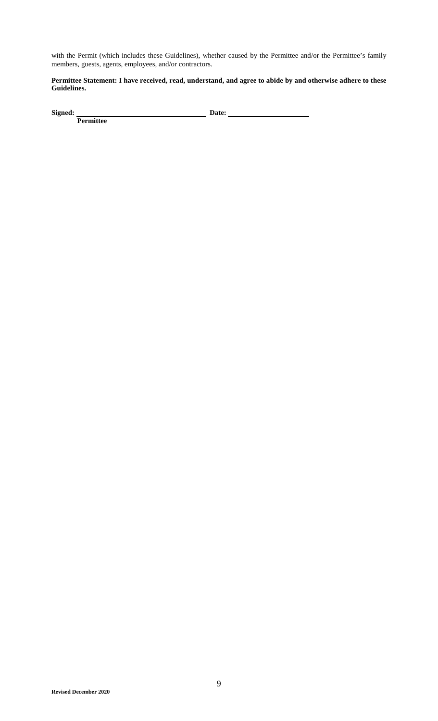with the Permit (which includes these Guidelines), whether caused by the Permittee and/or the Permittee's family members, guests, agents, employees, and/or contractors.

## **Permittee Statement: I have received, read, understand, and agree to abide by and otherwise adhere to these Guidelines.**

Signed: Permittee

**Signed:** Date: <u>**Date: Date: Date: Date: Propriet: Date: Propriet: Date: Propriet: Date: Propriet: Propriet: Propriet: Propriet: Propriet: Propriet: Propriet: Propriet: Propriet: Prop</u>**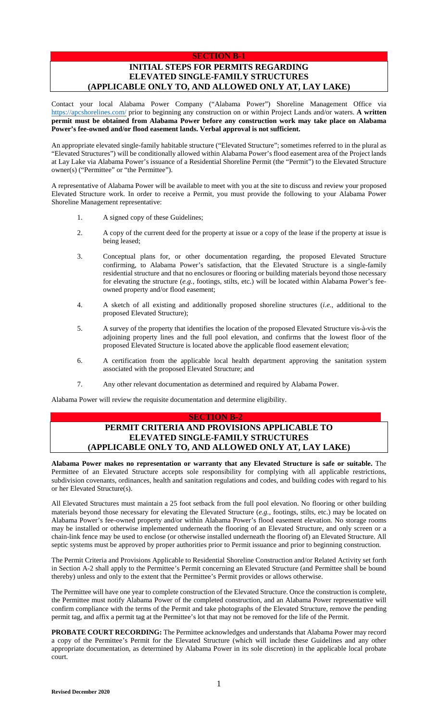## **SECTION B-1**

# **INITIAL STEPS FOR PERMITS REGARDING ELEVATED SINGLE-FAMILY STRUCTURES (APPLICABLE ONLY TO, AND ALLOWED ONLY AT, LAY LAKE)**

[Contact your local Ala](https://apcshorelines.com/)bama Power Company ("Alabama Power") Shoreline Management Office via https://apcshorelines.com/ prior to beginning any construction on or within Project Lands and/or waters. **A written permit must be obtained from Alabama Power before any construction work may take place on Alabama Power's fee-owned and/or flood easement lands. Verbal approval is not sufficient.**

An appropriate elevated single-family habitable structure ("Elevated Structure"; sometimes referred to in the plural as "Elevated Structures") will be conditionally allowed within Alabama Power's flood easement area of the Project lands at Lay Lake via Alabama Power's issuance of a Residential Shoreline Permit (the "Permit") to the Elevated Structure owner(s) ("Permittee" or "the Permittee").

A representative of Alabama Power will be available to meet with you at the site to discuss and review your proposed Elevated Structure work. In order to receive a Permit, you must provide the following to your Alabama Power Shoreline Management representative:

- 1. A signed copy of these Guidelines;
- 2. A copy of the current deed for the property at issue or a copy of the lease if the property at issue is being leased;
- 3. Conceptual plans for, or other documentation regarding, the proposed Elevated Structure confirming, to Alabama Power's satisfaction, that the Elevated Structure is a single-family residential structure and that no enclosures or flooring or building materials beyond those necessary for elevating the structure (*e.g.*, footings, stilts, etc.) will be located within Alabama Power's feeowned property and/or flood easement;
- 4. A sketch of all existing and additionally proposed shoreline structures (*i.e.*, additional to the proposed Elevated Structure);
- 5. A survey of the property that identifies the location of the proposed Elevated Structure vis-à-vis the adjoining property lines and the full pool elevation, and confirms that the lowest floor of the proposed Elevated Structure is located above the applicable flood easement elevation;
- 6. A certification from the applicable local health department approving the sanitation system associated with the proposed Elevated Structure; and
- 7. Any other relevant documentation as determined and required by Alabama Power.

Alabama Power will review the requisite documentation and determine eligibility.

# **SECTION B-2 PERMIT CRITERIA AND PROVISIONS APPLICABLE TO ELEVATED SINGLE-FAMILY STRUCTURES (APPLICABLE ONLY TO, AND ALLOWED ONLY AT, LAY LAKE)**

**Alabama Power makes no representation or warranty that any Elevated Structure is safe or suitable.** The Permittee of an Elevated Structure accepts sole responsibility for complying with all applicable restrictions, subdivision covenants, ordinances, health and sanitation regulations and codes, and building codes with regard to his or her Elevated Structure(s).

All Elevated Structures must maintain a 25 foot setback from the full pool elevation. No flooring or other building materials beyond those necessary for elevating the Elevated Structure (*e.g.*, footings, stilts, etc.) may be located on Alabama Power's fee-owned property and/or within Alabama Power's flood easement elevation. No storage rooms may be installed or otherwise implemented underneath the flooring of an Elevated Structure, and only screen or a chain-link fence may be used to enclose (or otherwise installed underneath the flooring of) an Elevated Structure. All septic systems must be approved by proper authorities prior to Permit issuance and prior to beginning construction.

The Permit Criteria and Provisions Applicable to Residential Shoreline Construction and/or Related Activity set forth in Section A-2 shall apply to the Permittee's Permit concerning an Elevated Structure (and Permittee shall be bound thereby) unless and only to the extent that the Permittee's Permit provides or allows otherwise.

The Permittee will have one year to complete construction of the Elevated Structure. Once the construction is complete, the Permittee must notify Alabama Power of the completed construction, and an Alabama Power representative will confirm compliance with the terms of the Permit and take photographs of the Elevated Structure, remove the pending permit tag, and affix a permit tag at the Permittee's lot that may not be removed for the life of the Permit.

**PROBATE COURT RECORDING:** The Permittee acknowledges and understands that Alabama Power may record a copy of the Permittee's Permit for the Elevated Structure (which will include these Guidelines and any other appropriate documentation, as determined by Alabama Power in its sole discretion) in the applicable local probate court.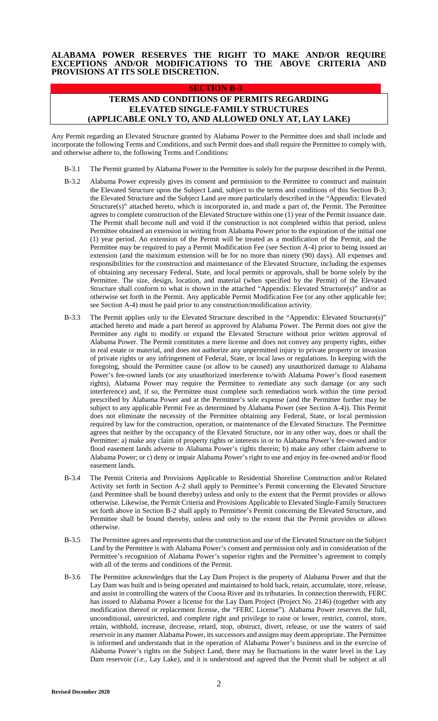## **ALABAMA POWER RESERVES THE RIGHT TO MAKE AND/OR REQUIRE EXCEPTIONS AND/OR MODIFICATIONS TO THE ABOVE CRITERIA AND PROVISIONS AT ITS SOLE DISCRETION.**

# **SECTION B-3 TERMS AND CONDITIONS OF PERMITS REGARDING ELEVATED SINGLE-FAMILY STRUCTURES (APPLICABLE ONLY TO, AND ALLOWED ONLY AT, LAY LAKE)**

Any Permit regarding an Elevated Structure granted by Alabama Power to the Permittee does and shall include and incorporate the following Terms and Conditions, and such Permit does and shall require the Permittee to comply with, and otherwise adhere to, the following Terms and Conditions:

- B-3.1 The Permit granted by Alabama Power to the Permittee is solely for the purpose described in the Permit.
- B-3.2 Alabama Power expressly gives its consent and permission to the Permittee to construct and maintain the Elevated Structure upon the Subject Land, subject to the terms and conditions of this Section B-3; the Elevated Structure and the Subject Land are more particularly described in the "Appendix: Elevated Structure(s)" attached hereto, which is incorporated in, and made a part of, the Permit. The Permittee agrees to complete construction of the Elevated Structure within one (1) year of the Permit issuance date. The Permit shall become null and void if the construction is not completed within that period, unless Permittee obtained an extension in writing from Alabama Power prior to the expiration of the initial one (1) year period. An extension of the Permit will be treated as a modification of the Permit, and the Permittee may be required to pay a Permit Modification Fee (see Section A-4) prior to being issued an extension (and the maximum extension will be for no more than ninety (90) days). All expenses and responsibilities for the construction and maintenance of the Elevated Structure, including the expenses of obtaining any necessary Federal, State, and local permits or approvals, shall be borne solely by the Permittee. The size, design, location, and material (when specified by the Permit) of the Elevated Structure shall conform to what is shown in the attached "Appendix: Elevated Structure(s)" and/or as otherwise set forth in the Permit. Any applicable Permit Modification Fee (or any other applicable fee; see Section A-4) must be paid prior to any construction/modification activity.
- B-3.3 The Permit applies only to the Elevated Structure described in the "Appendix: Elevated Structure(s)" attached hereto and made a part hereof as approved by Alabama Power. The Permit does not give the Permittee any right to modify or expand the Elevated Structure without prior written approval of Alabama Power. The Permit constitutes a mere license and does not convey any property rights, either in real estate or material, and does not authorize any unpermitted injury to private property or invasion of private rights or any infringement of Federal, State, or local laws or regulations. In keeping with the foregoing, should the Permittee cause (or allow to be caused) any unauthorized damage to Alabama Power's fee-owned lands (or any unauthorized interference to/with Alabama Power's flood easement rights), Alabama Power may require the Permittee to remediate any such damage (or any such interference) and, if so, the Permittee must complete such remediation work within the time period prescribed by Alabama Power and at the Permittee's sole expense (and the Permittee further may be subject to any applicable Permit Fee as determined by Alabama Power (see Section A-4)). This Permit does not eliminate the necessity of the Permittee obtaining any Federal, State, or local permission required by law for the construction, operation, or maintenance of the Elevated Structure. The Permittee agrees that neither by the occupancy of the Elevated Structure, nor in any other way, does or shall the Permittee: a) make any claim of property rights or interests in or to Alabama Power's fee-owned and/or flood easement lands adverse to Alabama Power's rights therein; b) make any other claim adverse to Alabama Power; or c) deny or impair Alabama Power's right to use and enjoy its fee-owned and/or flood easement lands.
- B-3.4 The Permit Criteria and Provisions Applicable to Residential Shoreline Construction and/or Related Activity set forth in Section A-2 shall apply to Permittee's Permit concerning the Elevated Structure (and Permittee shall be bound thereby) unless and only to the extent that the Permit provides or allows otherwise. Likewise, the Permit Criteria and Provisions Applicable to Elevated Single-Family Structures set forth above in Section B-2 shall apply to Permittee's Permit concerning the Elevated Structure, and Permittee shall be bound thereby, unless and only to the extent that the Permit provides or allows otherwise.
- B-3.5 The Permittee agrees and represents that the construction and use of the Elevated Structure on the Subject Land by the Permittee is with Alabama Power's consent and permission only and in consideration of the Permittee's recognition of Alabama Power's superior rights and the Permittee's agreement to comply with all of the terms and conditions of the Permit.
- B-3.6 The Permittee acknowledges that the Lay Dam Project is the property of Alabama Power and that the Lay Dam was built and is being operated and maintained to hold back, retain, accumulate, store, release, and assist in controlling the waters of the Coosa River and its tributaries. In connection therewith, FERC has issued to Alabama Power a license for the Lay Dam Project (Project No. 2146) (together with any modification thereof or replacement license, the "FERC License"). Alabama Power reserves the full, unconditional, unrestricted, and complete right and privilege to raise or lower, restrict, control, store, retain, withhold, increase, decrease, retard, stop, obstruct, divert, release, or use the waters of said reservoir in any manner Alabama Power, its successors and assigns may deem appropriate. The Permittee is informed and understands that in the operation of Alabama Power's business and in the exercise of Alabama Power's rights on the Subject Land, there may be fluctuations in the water level in the Lay Dam reservoir (*i.e.*, Lay Lake), and it is understood and agreed that the Permit shall be subject at all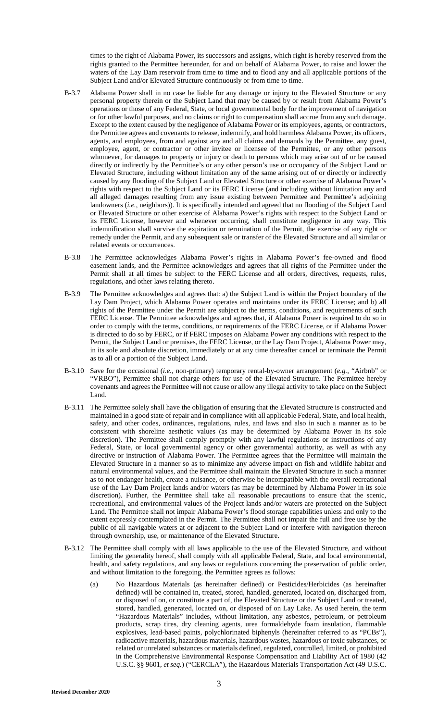times to the right of Alabama Power, its successors and assigns, which right is hereby reserved from the rights granted to the Permittee hereunder, for and on behalf of Alabama Power, to raise and lower the waters of the Lay Dam reservoir from time to time and to flood any and all applicable portions of the Subject Land and/or Elevated Structure continuously or from time to time.

- B-3.7 Alabama Power shall in no case be liable for any damage or injury to the Elevated Structure or any personal property therein or the Subject Land that may be caused by or result from Alabama Power's operations or those of any Federal, State, or local governmental body for the improvement of navigation or for other lawful purposes, and no claims or right to compensation shall accrue from any such damage. Except to the extent caused by the negligence of Alabama Power or its employees, agents, or contractors, the Permittee agrees and covenants to release, indemnify, and hold harmless Alabama Power, its officers, agents, and employees, from and against any and all claims and demands by the Permittee, any guest, employee, agent, or contractor or other invitee or licensee of the Permittee, or any other persons whomever, for damages to property or injury or death to persons which may arise out of or be caused directly or indirectly by the Permittee's or any other person's use or occupancy of the Subject Land or Elevated Structure, including without limitation any of the same arising out of or directly or indirectly caused by any flooding of the Subject Land or Elevated Structure or other exercise of Alabama Power's rights with respect to the Subject Land or its FERC License (and including without limitation any and all alleged damages resulting from any issue existing between Permittee and Permittee's adjoining landowners (*i.e.*, neighbors)). It is specifically intended and agreed that no flooding of the Subject Land or Elevated Structure or other exercise of Alabama Power's rights with respect to the Subject Land or its FERC License, however and whenever occurring, shall constitute negligence in any way. This indemnification shall survive the expiration or termination of the Permit, the exercise of any right or remedy under the Permit, and any subsequent sale or transfer of the Elevated Structure and all similar or related events or occurrences.
- B-3.8 The Permittee acknowledges Alabama Power's rights in Alabama Power's fee-owned and flood easement lands, and the Permittee acknowledges and agrees that all rights of the Permittee under the Permit shall at all times be subject to the FERC License and all orders, directives, requests, rules, regulations, and other laws relating thereto.
- B-3.9 The Permittee acknowledges and agrees that: a) the Subject Land is within the Project boundary of the Lay Dam Project, which Alabama Power operates and maintains under its FERC License; and b) all rights of the Permittee under the Permit are subject to the terms, conditions, and requirements of such FERC License. The Permittee acknowledges and agrees that, if Alabama Power is required to do so in order to comply with the terms, conditions, or requirements of the FERC License, or if Alabama Power is directed to do so by FERC, or if FERC imposes on Alabama Power any conditions with respect to the Permit, the Subject Land or premises, the FERC License, or the Lay Dam Project, Alabama Power may, in its sole and absolute discretion, immediately or at any time thereafter cancel or terminate the Permit as to all or a portion of the Subject Land.
- B-3.10 Save for the occasional (*i.e.*, non-primary) temporary rental-by-owner arrangement (*e.g.*, "Airbnb" or "VRBO"), Permittee shall not charge others for use of the Elevated Structure. The Permittee hereby covenants and agrees the Permittee will not cause or allow any illegal activity to take place on the Subject Land.
- B-3.11 The Permittee solely shall have the obligation of ensuring that the Elevated Structure is constructed and maintained in a good state of repair and in compliance with all applicable Federal, State, and local health, safety, and other codes, ordinances, regulations, rules, and laws and also in such a manner as to be consistent with shoreline aesthetic values (as may be determined by Alabama Power in its sole discretion). The Permittee shall comply promptly with any lawful regulations or instructions of any Federal, State, or local governmental agency or other governmental authority, as well as with any directive or instruction of Alabama Power. The Permittee agrees that the Permittee will maintain the Elevated Structure in a manner so as to minimize any adverse impact on fish and wildlife habitat and natural environmental values, and the Permittee shall maintain the Elevated Structure in such a manner as to not endanger health, create a nuisance, or otherwise be incompatible with the overall recreational use of the Lay Dam Project lands and/or waters (as may be determined by Alabama Power in its sole discretion). Further, the Permittee shall take all reasonable precautions to ensure that the scenic, recreational, and environmental values of the Project lands and/or waters are protected on the Subject Land. The Permittee shall not impair Alabama Power's flood storage capabilities unless and only to the extent expressly contemplated in the Permit. The Permittee shall not impair the full and free use by the public of all navigable waters at or adjacent to the Subject Land or interfere with navigation thereon through ownership, use, or maintenance of the Elevated Structure.
- B-3.12 The Permittee shall comply with all laws applicable to the use of the Elevated Structure, and without limiting the generality hereof, shall comply with all applicable Federal, State, and local environmental, health, and safety regulations, and any laws or regulations concerning the preservation of public order, and without limitation to the foregoing, the Permittee agrees as follows:
	- (a) No Hazardous Materials (as hereinafter defined) or Pesticides/Herbicides (as hereinafter defined) will be contained in, treated, stored, handled, generated, located on, discharged from, or disposed of on, or constitute a part of, the Elevated Structure or the Subject Land or treated, stored, handled, generated, located on, or disposed of on Lay Lake. As used herein, the term "Hazardous Materials" includes, without limitation, any asbestos, petroleum, or petroleum products, scrap tires, dry cleaning agents, urea formaldehyde foam insulation, flammable explosives, lead-based paints, polychlorinated biphenyls (hereinafter referred to as "PCBs"), radioactive materials, hazardous materials, hazardous wastes, hazardous or toxic substances, or related or unrelated substances or materials defined, regulated, controlled, limited, or prohibited in the Comprehensive Environmental Response Compensation and Liability Act of 1980 (42 U.S.C. §§ 9601, *et seq.*) ("CERCLA"), the Hazardous Materials Transportation Act (49 U.S.C.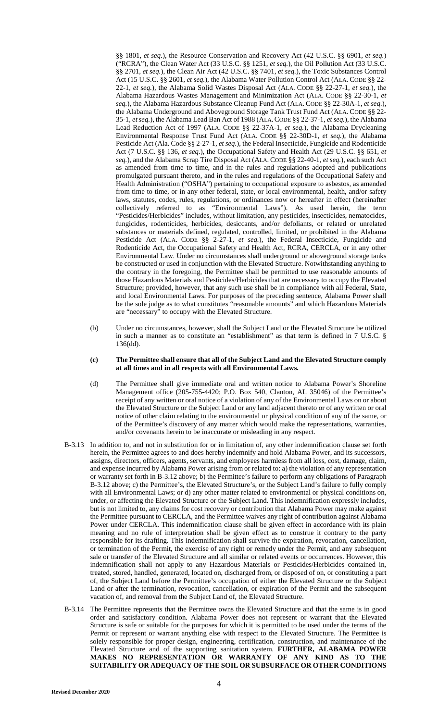§§ 1801, *et seq.*), the Resource Conservation and Recovery Act (42 U.S.C. §§ 6901, *et seq.*) ("RCRA"), the Clean Water Act (33 U.S.C. §§ 1251, *et seq.*), the Oil Pollution Act (33 U.S.C. §§ 2701, *et seq.*), the Clean Air Act (42 U.S.C. §§ 7401, *et seq.*), the Toxic Substances Control Act (15 U.S.C. §§ 2601, *et seq.*), the Alabama Water Pollution Control Act (ALA. CODE §§ 22- 22-1, *et seq.*), the Alabama Solid Wastes Disposal Act (ALA. CODE §§ 22-27-1, *et seq.*), the Alabama Hazardous Wastes Management and Minimization Act (ALA. CODE §§ 22-30-1, *et seq.*), the Alabama Hazardous Substance Cleanup Fund Act (ALA. CODE §§ 22-30A-1, *et seq.*), the Alabama Underground and Aboveground Storage Tank Trust Fund Act (ALA. CODE §§ 22- 35-1, *et seq.*), the Alabama Lead Ban Act of 1988 (ALA.CODE §§ 22-37-1, *et seq.*), the Alabama Lead Reduction Act of 1997 (ALA. CODE §§ 22-37A-1, *et seq.*), the Alabama Drycleaning Environmental Response Trust Fund Act (ALA. CODE §§ 22-30D-1, *et seq.*), the Alabama Pesticide Act (Ala. Code §§ 2-27-1, *et seq.*), the Federal Insecticide, Fungicide and Rodenticide Act (7 U.S.C. §§ 136, *et seq.*), the Occupational Safety and Health Act (29 U.S.C. §§ 651, *et seq.*), and the Alabama Scrap Tire Disposal Act (ALA. CODE §§ 22-40-1, *et seq.*), each such Act as amended from time to time, and in the rules and regulations adopted and publications promulgated pursuant thereto, and in the rules and regulations of the Occupational Safety and Health Administration ("OSHA") pertaining to occupational exposure to asbestos, as amended from time to time, or in any other federal, state, or local environmental, health, and/or safety laws, statutes, codes, rules, regulations, or ordinances now or hereafter in effect (hereinafter collectively referred to as "Environmental Laws"). As used herein, the term "Pesticides/Herbicides" includes, without limitation, any pesticides, insecticides, nematocides, fungicides, rodenticides, herbicides, desiccants, and/or defoliants, or related or unrelated substances or materials defined, regulated, controlled, limited, or prohibited in the Alabama Pesticide Act (ALA. CODE §§ 2-27-1, *et seq.*), the Federal Insecticide, Fungicide and Rodenticide Act, the Occupational Safety and Health Act, RCRA, CERCLA, or in any other Environmental Law. Under no circumstances shall underground or aboveground storage tanks be constructed or used in conjunction with the Elevated Structure. Notwithstanding anything to the contrary in the foregoing, the Permittee shall be permitted to use reasonable amounts of those Hazardous Materials and Pesticides/Herbicides that are necessary to occupy the Elevated Structure; provided, however, that any such use shall be in compliance with all Federal, State, and local Environmental Laws. For purposes of the preceding sentence, Alabama Power shall be the sole judge as to what constitutes "reasonable amounts" and which Hazardous Materials are "necessary" to occupy with the Elevated Structure.

(b) Under no circumstances, however, shall the Subject Land or the Elevated Structure be utilized in such a manner as to constitute an "establishment" as that term is defined in 7 U.S.C. § 136(dd).

#### **(c) The Permittee shall ensure that all of the Subject Land and the Elevated Structure comply at all times and in all respects with all Environmental Laws.**

- (d) The Permittee shall give immediate oral and written notice to Alabama Power's Shoreline Management office (205-755-4420; P.O. Box 540, Clanton, AL 35046) of the Permittee's receipt of any written or oral notice of a violation of any of the Environmental Laws on or about the Elevated Structure or the Subject Land or any land adjacent thereto or of any written or oral notice of other claim relating to the environmental or physical condition of any of the same, or of the Permittee's discovery of any matter which would make the representations, warranties, and/or covenants herein to be inaccurate or misleading in any respect.
- B-3.13 In addition to, and not in substitution for or in limitation of, any other indemnification clause set forth herein, the Permittee agrees to and does hereby indemnify and hold Alabama Power, and its successors, assigns, directors, officers, agents, servants, and employees harmless from all loss, cost, damage, claim, and expense incurred by Alabama Power arising from or related to: a) the violation of any representation or warranty set forth in B-3.12 above; b) the Permittee's failure to perform any obligations of Paragraph B-3.12 above; c) the Permittee's, the Elevated Structure's, or the Subject Land's failure to fully comply with all Environmental Laws; or d) any other matter related to environmental or physical conditions on, under, or affecting the Elevated Structure or the Subject Land. This indemnification expressly includes, but is not limited to, any claims for cost recovery or contribution that Alabama Power may make against the Permittee pursuant to CERCLA, and the Permittee waives any right of contribution against Alabama Power under CERCLA. This indemnification clause shall be given effect in accordance with its plain meaning and no rule of interpretation shall be given effect as to construe it contrary to the party responsible for its drafting. This indemnification shall survive the expiration, revocation, cancellation, or termination of the Permit, the exercise of any right or remedy under the Permit, and any subsequent sale or transfer of the Elevated Structure and all similar or related events or occurrences. However, this indemnification shall not apply to any Hazardous Materials or Pesticides/Herbicides contained in, treated, stored, handled, generated, located on, discharged from, or disposed of on, or constituting a part of, the Subject Land before the Permittee's occupation of either the Elevated Structure or the Subject Land or after the termination, revocation, cancellation, or expiration of the Permit and the subsequent vacation of, and removal from the Subject Land of, the Elevated Structure.
- B-3.14 The Permittee represents that the Permittee owns the Elevated Structure and that the same is in good order and satisfactory condition. Alabama Power does not represent or warrant that the Elevated Structure is safe or suitable for the purposes for which it is permitted to be used under the terms of the Permit or represent or warrant anything else with respect to the Elevated Structure. The Permittee is solely responsible for proper design, engineering, certification, construction, and maintenance of the Elevated Structure and of the supporting sanitation system. **FURTHER, ALABAMA POWER MAKES NO REPRESENTATION OR WARRANTY OF ANY KIND AS TO THE SUITABILITY OR ADEQUACY OF THE SOIL OR SUBSURFACE OR OTHER CONDITIONS**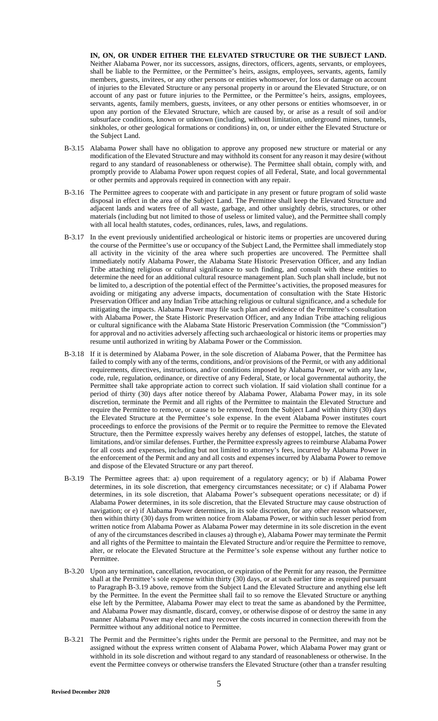**IN, ON, OR UNDER EITHER THE ELEVATED STRUCTURE OR THE SUBJECT LAND.**  Neither Alabama Power, nor its successors, assigns, directors, officers, agents, servants, or employees, shall be liable to the Permittee, or the Permittee's heirs, assigns, employees, servants, agents, family members, guests, invitees, or any other persons or entities whomsoever, for loss or damage on account of injuries to the Elevated Structure or any personal property in or around the Elevated Structure, or on account of any past or future injuries to the Permittee, or the Permittee's heirs, assigns, employees, servants, agents, family members, guests, invitees, or any other persons or entities whomsoever, in or upon any portion of the Elevated Structure, which are caused by, or arise as a result of soil and/or subsurface conditions, known or unknown (including, without limitation, underground mines, tunnels, sinkholes, or other geological formations or conditions) in, on, or under either the Elevated Structure or the Subject Land.

- B-3.15 Alabama Power shall have no obligation to approve any proposed new structure or material or any modification of the Elevated Structure and may withhold its consent for any reason it may desire (without regard to any standard of reasonableness or otherwise). The Permittee shall obtain, comply with, and promptly provide to Alabama Power upon request copies of all Federal, State, and local governmental or other permits and approvals required in connection with any repair.
- B-3.16 The Permittee agrees to cooperate with and participate in any present or future program of solid waste disposal in effect in the area of the Subject Land. The Permittee shall keep the Elevated Structure and adjacent lands and waters free of all waste, garbage, and other unsightly debris, structures, or other materials (including but not limited to those of useless or limited value), and the Permittee shall comply with all local health statutes, codes, ordinances, rules, laws, and regulations.
- B-3.17 In the event previously unidentified archeological or historic items or properties are uncovered during the course of the Permittee's use or occupancy of the Subject Land, the Permittee shall immediately stop all activity in the vicinity of the area where such properties are uncovered. The Permittee shall immediately notify Alabama Power, the Alabama State Historic Preservation Officer, and any Indian Tribe attaching religious or cultural significance to such finding, and consult with these entities to determine the need for an additional cultural resource management plan. Such plan shall include, but not be limited to, a description of the potential effect of the Permittee's activities, the proposed measures for avoiding or mitigating any adverse impacts, documentation of consultation with the State Historic Preservation Officer and any Indian Tribe attaching religious or cultural significance, and a schedule for mitigating the impacts. Alabama Power may file such plan and evidence of the Permittee's consultation with Alabama Power, the State Historic Preservation Officer, and any Indian Tribe attaching religious or cultural significance with the Alabama State Historic Preservation Commission (the "Commission") for approval and no activities adversely affecting such archaeological or historic items or properties may resume until authorized in writing by Alabama Power or the Commission.
- B-3.18 If it is determined by Alabama Power, in the sole discretion of Alabama Power, that the Permittee has failed to comply with any of the terms, conditions, and/or provisions of the Permit, or with any additional requirements, directives, instructions, and/or conditions imposed by Alabama Power, or with any law, code, rule, regulation, ordinance, or directive of any Federal, State, or local governmental authority, the Permittee shall take appropriate action to correct such violation. If said violation shall continue for a period of thirty (30) days after notice thereof by Alabama Power, Alabama Power may, in its sole discretion, terminate the Permit and all rights of the Permittee to maintain the Elevated Structure and require the Permittee to remove, or cause to be removed, from the Subject Land within thirty (30) days the Elevated Structure at the Permittee's sole expense. In the event Alabama Power institutes court proceedings to enforce the provisions of the Permit or to require the Permittee to remove the Elevated Structure, then the Permittee expressly waives hereby any defenses of estoppel, latches, the statute of limitations, and/or similar defenses. Further, the Permittee expressly agrees to reimburse Alabama Power for all costs and expenses, including but not limited to attorney's fees, incurred by Alabama Power in the enforcement of the Permit and any and all costs and expenses incurred by Alabama Power to remove and dispose of the Elevated Structure or any part thereof.
- B-3.19 The Permittee agrees that: a) upon requirement of a regulatory agency; or b) if Alabama Power determines, in its sole discretion, that emergency circumstances necessitate; or c) if Alabama Power determines, in its sole discretion, that Alabama Power's subsequent operations necessitate; or d) if Alabama Power determines, in its sole discretion, that the Elevated Structure may cause obstruction of navigation; or e) if Alabama Power determines, in its sole discretion, for any other reason whatsoever, then within thirty (30) days from written notice from Alabama Power, or within such lesser period from written notice from Alabama Power as Alabama Power may determine in its sole discretion in the event of any of the circumstances described in clauses a) through e), Alabama Power may terminate the Permit and all rights of the Permittee to maintain the Elevated Structure and/or require the Permittee to remove, alter, or relocate the Elevated Structure at the Permittee's sole expense without any further notice to Permittee.
- B-3.20 Upon any termination, cancellation, revocation, or expiration of the Permit for any reason, the Permittee shall at the Permittee's sole expense within thirty (30) days, or at such earlier time as required pursuant to Paragraph B-3.19 above, remove from the Subject Land the Elevated Structure and anything else left by the Permittee. In the event the Permittee shall fail to so remove the Elevated Structure or anything else left by the Permittee, Alabama Power may elect to treat the same as abandoned by the Permittee, and Alabama Power may dismantle, discard, convey, or otherwise dispose of or destroy the same in any manner Alabama Power may elect and may recover the costs incurred in connection therewith from the Permittee without any additional notice to Permittee.
- B-3.21 The Permit and the Permittee's rights under the Permit are personal to the Permittee, and may not be assigned without the express written consent of Alabama Power, which Alabama Power may grant or withhold in its sole discretion and without regard to any standard of reasonableness or otherwise. In the event the Permittee conveys or otherwise transfers the Elevated Structure (other than a transfer resulting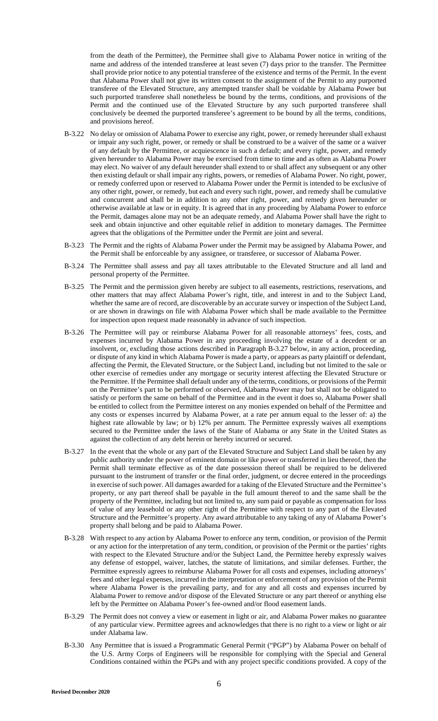from the death of the Permittee), the Permittee shall give to Alabama Power notice in writing of the name and address of the intended transferee at least seven (7) days prior to the transfer. The Permittee shall provide prior notice to any potential transferee of the existence and terms of the Permit. In the event that Alabama Power shall not give its written consent to the assignment of the Permit to any purported transferee of the Elevated Structure, any attempted transfer shall be voidable by Alabama Power but such purported transferee shall nonetheless be bound by the terms, conditions, and provisions of the Permit and the continued use of the Elevated Structure by any such purported transferee shall conclusively be deemed the purported transferee's agreement to be bound by all the terms, conditions, and provisions hereof.

- B-3.22 No delay or omission of Alabama Power to exercise any right, power, or remedy hereunder shall exhaust or impair any such right, power, or remedy or shall be construed to be a waiver of the same or a waiver of any default by the Permittee, or acquiescence in such a default; and every right, power, and remedy given hereunder to Alabama Power may be exercised from time to time and as often as Alabama Power may elect. No waiver of any default hereunder shall extend to or shall affect any subsequent or any other then existing default or shall impair any rights, powers, or remedies of Alabama Power. No right, power, or remedy conferred upon or reserved to Alabama Power under the Permit is intended to be exclusive of any other right, power, or remedy, but each and every such right, power, and remedy shall be cumulative and concurrent and shall be in addition to any other right, power, and remedy given hereunder or otherwise available at law or in equity. It is agreed that in any proceeding by Alabama Power to enforce the Permit, damages alone may not be an adequate remedy, and Alabama Power shall have the right to seek and obtain injunctive and other equitable relief in addition to monetary damages. The Permittee agrees that the obligations of the Permittee under the Permit are joint and several.
- B-3.23 The Permit and the rights of Alabama Power under the Permit may be assigned by Alabama Power, and the Permit shall be enforceable by any assignee, or transferee, or successor of Alabama Power.
- B-3.24 The Permittee shall assess and pay all taxes attributable to the Elevated Structure and all land and personal property of the Permittee.
- B-3.25 The Permit and the permission given hereby are subject to all easements, restrictions, reservations, and other matters that may affect Alabama Power's right, title, and interest in and to the Subject Land, whether the same are of record, are discoverable by an accurate survey or inspection of the Subject Land, or are shown in drawings on file with Alabama Power which shall be made available to the Permittee for inspection upon request made reasonably in advance of such inspection.
- B-3.26 The Permittee will pay or reimburse Alabama Power for all reasonable attorneys' fees, costs, and expenses incurred by Alabama Power in any proceeding involving the estate of a decedent or an insolvent, or, excluding those actions described in Paragraph B-3.27 below, in any action, proceeding, or dispute of any kind in which Alabama Power is made a party, or appears as party plaintiff or defendant, affecting the Permit, the Elevated Structure, or the Subject Land, including but not limited to the sale or other exercise of remedies under any mortgage or security interest affecting the Elevated Structure or the Permittee. If the Permittee shall default under any of the terms, conditions, or provisions of the Permit on the Permittee's part to be performed or observed, Alabama Power may but shall not be obligated to satisfy or perform the same on behalf of the Permittee and in the event it does so, Alabama Power shall be entitled to collect from the Permittee interest on any monies expended on behalf of the Permittee and any costs or expenses incurred by Alabama Power, at a rate per annum equal to the lesser of: a) the highest rate allowable by law; or b) 12% per annum. The Permittee expressly waives all exemptions secured to the Permittee under the laws of the State of Alabama or any State in the United States as against the collection of any debt herein or hereby incurred or secured.
- B-3.27 In the event that the whole or any part of the Elevated Structure and Subject Land shall be taken by any public authority under the power of eminent domain or like power or transferred in lieu thereof, then the Permit shall terminate effective as of the date possession thereof shall be required to be delivered pursuant to the instrument of transfer or the final order, judgment, or decree entered in the proceedings in exercise of such power. All damages awarded for a taking of the Elevated Structure and the Permittee's property, or any part thereof shall be payable in the full amount thereof to and the same shall be the property of the Permittee, including but not limited to, any sum paid or payable as compensation for loss of value of any leasehold or any other right of the Permittee with respect to any part of the Elevated Structure and the Permittee's property. Any award attributable to any taking of any of Alabama Power's property shall belong and be paid to Alabama Power.
- B-3.28 With respect to any action by Alabama Power to enforce any term, condition, or provision of the Permit or any action for the interpretation of any term, condition, or provision of the Permit or the parties' rights with respect to the Elevated Structure and/or the Subject Land, the Permittee hereby expressly waives any defense of estoppel, waiver, latches, the statute of limitations, and similar defenses. Further, the Permittee expressly agrees to reimburse Alabama Power for all costs and expenses, including attorneys' fees and other legal expenses, incurred in the interpretation or enforcement of any provision of the Permit where Alabama Power is the prevailing party, and for any and all costs and expenses incurred by Alabama Power to remove and/or dispose of the Elevated Structure or any part thereof or anything else left by the Permittee on Alabama Power's fee-owned and/or flood easement lands.
- B-3.29 The Permit does not convey a view or easement in light or air, and Alabama Power makes no guarantee of any particular view. Permittee agrees and acknowledges that there is no right to a view or light or air under Alabama law.
- B-3.30 Any Permittee that is issued a Programmatic General Permit ("PGP") by Alabama Power on behalf of the U.S. Army Corps of Engineers will be responsible for complying with the Special and General Conditions contained within the PGPs and with any project specific conditions provided. A copy of the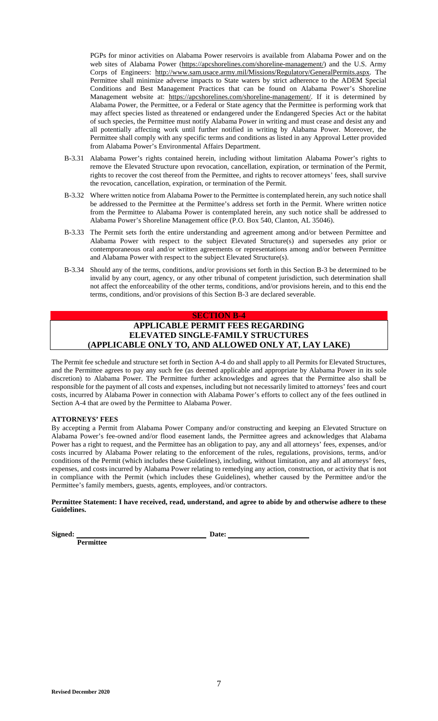PGPs for minor activities on A[labama Power reservoirs is available from Alabam](https://apcshorelines.com/shoreline-management/)a Power and on the web sites of Alabama Power (https://apcshorelines.com/shoreline-management/) and the U.S. Army Corps of Engineers: http://www.sam.usace.army.mil/Missions/Regulatory/GeneralPermits.aspx. The Permittee shall minimize adverse impacts to State waters by strict adherence to the ADEM Special Conditions and Best Management Practices that can be found on Alabama Power's Shoreline Management website at: https://apcshorelines.com/shoreline-management/. If it is determined by Alabama Power, the Permittee, or a Federal or State agency that the Permittee is performing work that may affect species listed as threatened or endangered under the Endangered Species Act or the habitat of such species, the Permittee must notify Alabama Power in writing and must cease and desist any and all potentially affecting work until further notified in writing by Alabama Power. Moreover, the Permittee shall comply with any specific terms and conditions as listed in any Approval Letter provided from Alabama Power's Environmental Affairs Department.

- B-3.31 Alabama Power's rights contained herein, including without limitation Alabama Power's rights to remove the Elevated Structure upon revocation, cancellation, expiration, or termination of the Permit, rights to recover the cost thereof from the Permittee, and rights to recover attorneys' fees, shall survive the revocation, cancellation, expiration, or termination of the Permit.
- B-3.32 Where written notice from Alabama Power to the Permittee is contemplated herein, any such notice shall be addressed to the Permittee at the Permittee's address set forth in the Permit. Where written notice from the Permittee to Alabama Power is contemplated herein, any such notice shall be addressed to Alabama Power's Shoreline Management office (P.O. Box 540, Clanton, AL 35046).
- B-3.33 The Permit sets forth the entire understanding and agreement among and/or between Permittee and Alabama Power with respect to the subject Elevated Structure(s) and supersedes any prior or contemporaneous oral and/or written agreements or representations among and/or between Permittee and Alabama Power with respect to the subject Elevated Structure(s).
- B-3.34 Should any of the terms, conditions, and/or provisions set forth in this Section B-3 be determined to be invalid by any court, agency, or any other tribunal of competent jurisdiction, such determination shall not affect the enforceability of the other terms, conditions, and/or provisions herein, and to this end the terms, conditions, and/or provisions of this Section B-3 are declared severable.

# **SECTION B-4 APPLICABLE PERMIT FEES REGARDING ELEVATED SINGLE-FAMILY STRUCTURES (APPLICABLE ONLY TO, AND ALLOWED ONLY AT, LAY LAKE)**

The Permit fee schedule and structure set forth in Section A-4 do and shall apply to all Permits for Elevated Structures, and the Permittee agrees to pay any such fee (as deemed applicable and appropriate by Alabama Power in its sole discretion) to Alabama Power. The Permittee further acknowledges and agrees that the Permittee also shall be responsible for the payment of all costs and expenses, including but not necessarily limited to attorneys' fees and court costs, incurred by Alabama Power in connection with Alabama Power's efforts to collect any of the fees outlined in Section A-4 that are owed by the Permittee to Alabama Power.

### **ATTORNEYS' FEES**

By accepting a Permit from Alabama Power Company and/or constructing and keeping an Elevated Structure on Alabama Power's fee-owned and/or flood easement lands, the Permittee agrees and acknowledges that Alabama Power has a right to request, and the Permittee has an obligation to pay, any and all attorneys' fees, expenses, and/or costs incurred by Alabama Power relating to the enforcement of the rules, regulations, provisions, terms, and/or conditions of the Permit (which includes these Guidelines), including, without limitation, any and all attorneys' fees, expenses, and costs incurred by Alabama Power relating to remedying any action, construction, or activity that is not in compliance with the Permit (which includes these Guidelines), whether caused by the Permittee and/or the Permittee's family members, guests, agents, employees, and/or contractors.

**Permittee Statement: I have received, read, understand, and agree to abide by and otherwise adhere to these Guidelines.** 

**Signed: Date:** 

**Permittee**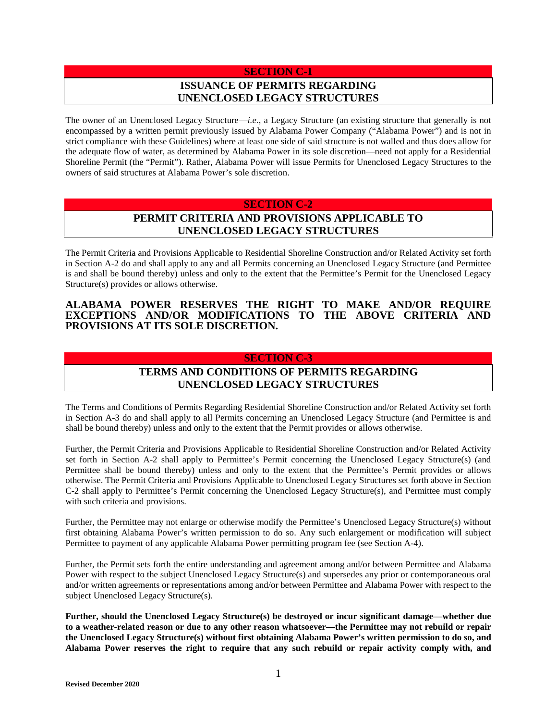# **SECTION C-1 ISSUANCE OF PERMITS REGARDING UNENCLOSED LEGACY STRUCTURES**

The owner of an Unenclosed Legacy Structure—*i.e.*, a Legacy Structure (an existing structure that generally is not encompassed by a written permit previously issued by Alabama Power Company ("Alabama Power") and is not in strict compliance with these Guidelines) where at least one side of said structure is not walled and thus does allow for the adequate flow of water, as determined by Alabama Power in its sole discretion—need not apply for a Residential Shoreline Permit (the "Permit"). Rather, Alabama Power will issue Permits for Unenclosed Legacy Structures to the owners of said structures at Alabama Power's sole discretion.

## **SECTION C-2**

# **PERMIT CRITERIA AND PROVISIONS APPLICABLE TO UNENCLOSED LEGACY STRUCTURES**

The Permit Criteria and Provisions Applicable to Residential Shoreline Construction and/or Related Activity set forth in Section A-2 do and shall apply to any and all Permits concerning an Unenclosed Legacy Structure (and Permittee is and shall be bound thereby) unless and only to the extent that the Permittee's Permit for the Unenclosed Legacy Structure(s) provides or allows otherwise.

## **ALABAMA POWER RESERVES THE RIGHT TO MAKE AND/OR REQUIRE EXCEPTIONS AND/OR MODIFICATIONS TO THE ABOVE CRITERIA AND PROVISIONS AT ITS SOLE DISCRETION.**

## **SECTION C-3**

# **TERMS AND CONDITIONS OF PERMITS REGARDING UNENCLOSED LEGACY STRUCTURES**

The Terms and Conditions of Permits Regarding Residential Shoreline Construction and/or Related Activity set forth in Section A-3 do and shall apply to all Permits concerning an Unenclosed Legacy Structure (and Permittee is and shall be bound thereby) unless and only to the extent that the Permit provides or allows otherwise.

Further, the Permit Criteria and Provisions Applicable to Residential Shoreline Construction and/or Related Activity set forth in Section A-2 shall apply to Permittee's Permit concerning the Unenclosed Legacy Structure(s) (and Permittee shall be bound thereby) unless and only to the extent that the Permittee's Permit provides or allows otherwise. The Permit Criteria and Provisions Applicable to Unenclosed Legacy Structures set forth above in Section C-2 shall apply to Permittee's Permit concerning the Unenclosed Legacy Structure(s), and Permittee must comply with such criteria and provisions.

Further, the Permittee may not enlarge or otherwise modify the Permittee's Unenclosed Legacy Structure(s) without first obtaining Alabama Power's written permission to do so. Any such enlargement or modification will subject Permittee to payment of any applicable Alabama Power permitting program fee (see Section A-4).

Further, the Permit sets forth the entire understanding and agreement among and/or between Permittee and Alabama Power with respect to the subject Unenclosed Legacy Structure(s) and supersedes any prior or contemporaneous oral and/or written agreements or representations among and/or between Permittee and Alabama Power with respect to the subject Unenclosed Legacy Structure(s).

**Further, should the Unenclosed Legacy Structure(s) be destroyed or incur significant damage—whether due to a weather-related reason or due to any other reason whatsoever—the Permittee may not rebuild or repair the Unenclosed Legacy Structure(s) without first obtaining Alabama Power's written permission to do so, and Alabama Power reserves the right to require that any such rebuild or repair activity comply with, and**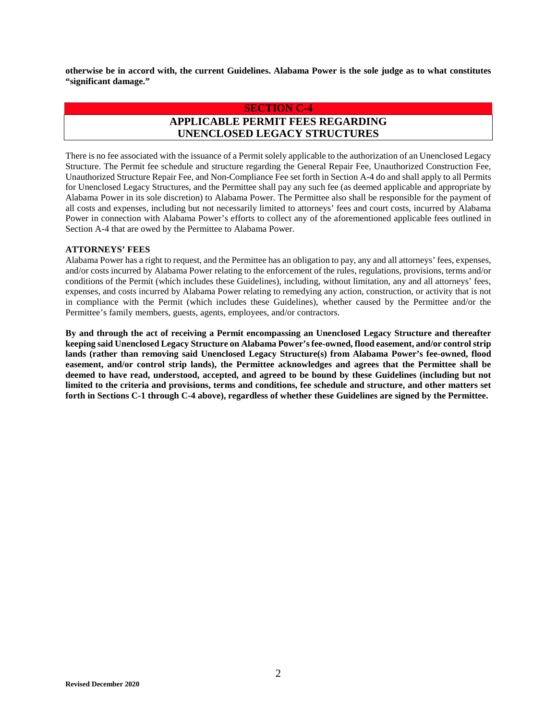**otherwise be in accord with, the current Guidelines. Alabama Power is the sole judge as to what constitutes "significant damage."** 

## **SECTION C-4 APPLICABLE PERMIT FEES REGARDING UNENCLOSED LEGACY STRUCTURES**

There is no fee associated with the issuance of a Permit solely applicable to the authorization of an Unenclosed Legacy Structure. The Permit fee schedule and structure regarding the General Repair Fee, Unauthorized Construction Fee, Unauthorized Structure Repair Fee, and Non-Compliance Fee set forth in Section A-4 do and shall apply to all Permits for Unenclosed Legacy Structures, and the Permittee shall pay any such fee (as deemed applicable and appropriate by Alabama Power in its sole discretion) to Alabama Power. The Permittee also shall be responsible for the payment of all costs and expenses, including but not necessarily limited to attorneys' fees and court costs, incurred by Alabama Power in connection with Alabama Power's efforts to collect any of the aforementioned applicable fees outlined in Section A-4 that are owed by the Permittee to Alabama Power.

#### **ATTORNEYS' FEES**

Alabama Power has a right to request, and the Permittee has an obligation to pay, any and all attorneys' fees, expenses, and/or costs incurred by Alabama Power relating to the enforcement of the rules, regulations, provisions, terms and/or conditions of the Permit (which includes these Guidelines), including, without limitation, any and all attorneys' fees, expenses, and costs incurred by Alabama Power relating to remedying any action, construction, or activity that is not in compliance with the Permit (which includes these Guidelines), whether caused by the Permittee and/or the Permittee's family members, guests, agents, employees, and/or contractors.

**By and through the act of receiving a Permit encompassing an Unenclosed Legacy Structure and thereafter keeping said Unenclosed Legacy Structure on Alabama Power's fee-owned, flood easement, and/or control strip lands (rather than removing said Unenclosed Legacy Structure(s) from Alabama Power's fee-owned, flood easement, and/or control strip lands), the Permittee acknowledges and agrees that the Permittee shall be deemed to have read, understood, accepted, and agreed to be bound by these Guidelines (including but not limited to the criteria and provisions, terms and conditions, fee schedule and structure, and other matters set forth in Sections C-1 through C-4 above), regardless of whether these Guidelines are signed by the Permittee.**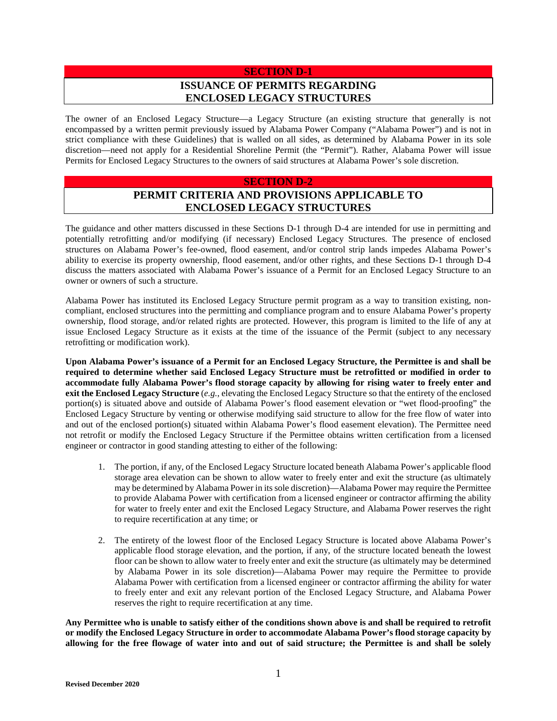# **SECTION D-1 ISSUANCE OF PERMITS REGARDING ENCLOSED LEGACY STRUCTURES**

The owner of an Enclosed Legacy Structure—a Legacy Structure (an existing structure that generally is not encompassed by a written permit previously issued by Alabama Power Company ("Alabama Power") and is not in strict compliance with these Guidelines) that is walled on all sides, as determined by Alabama Power in its sole discretion—need not apply for a Residential Shoreline Permit (the "Permit"). Rather, Alabama Power will issue Permits for Enclosed Legacy Structures to the owners of said structures at Alabama Power's sole discretion.

#### **SECTION D-2**

# **PERMIT CRITERIA AND PROVISIONS APPLICABLE TO ENCLOSED LEGACY STRUCTURES**

The guidance and other matters discussed in these Sections D-1 through D-4 are intended for use in permitting and potentially retrofitting and/or modifying (if necessary) Enclosed Legacy Structures. The presence of enclosed structures on Alabama Power's fee-owned, flood easement, and/or control strip lands impedes Alabama Power's ability to exercise its property ownership, flood easement, and/or other rights, and these Sections D-1 through D-4 discuss the matters associated with Alabama Power's issuance of a Permit for an Enclosed Legacy Structure to an owner or owners of such a structure.

Alabama Power has instituted its Enclosed Legacy Structure permit program as a way to transition existing, noncompliant, enclosed structures into the permitting and compliance program and to ensure Alabama Power's property ownership, flood storage, and/or related rights are protected. However, this program is limited to the life of any at issue Enclosed Legacy Structure as it exists at the time of the issuance of the Permit (subject to any necessary retrofitting or modification work).

**Upon Alabama Power's issuance of a Permit for an Enclosed Legacy Structure, the Permittee is and shall be required to determine whether said Enclosed Legacy Structure must be retrofitted or modified in order to accommodate fully Alabama Power's flood storage capacity by allowing for rising water to freely enter and exit the Enclosed Legacy Structure** (*e.g.*, elevating the Enclosed Legacy Structure so that the entirety of the enclosed portion(s) is situated above and outside of Alabama Power's flood easement elevation or "wet flood-proofing" the Enclosed Legacy Structure by venting or otherwise modifying said structure to allow for the free flow of water into and out of the enclosed portion(s) situated within Alabama Power's flood easement elevation). The Permittee need not retrofit or modify the Enclosed Legacy Structure if the Permittee obtains written certification from a licensed engineer or contractor in good standing attesting to either of the following:

- 1. The portion, if any, of the Enclosed Legacy Structure located beneath Alabama Power's applicable flood storage area elevation can be shown to allow water to freely enter and exit the structure (as ultimately may be determined by Alabama Power in its sole discretion)—Alabama Power may require the Permittee to provide Alabama Power with certification from a licensed engineer or contractor affirming the ability for water to freely enter and exit the Enclosed Legacy Structure, and Alabama Power reserves the right to require recertification at any time; or
- 2. The entirety of the lowest floor of the Enclosed Legacy Structure is located above Alabama Power's applicable flood storage elevation, and the portion, if any, of the structure located beneath the lowest floor can be shown to allow water to freely enter and exit the structure (as ultimately may be determined by Alabama Power in its sole discretion)—Alabama Power may require the Permittee to provide Alabama Power with certification from a licensed engineer or contractor affirming the ability for water to freely enter and exit any relevant portion of the Enclosed Legacy Structure, and Alabama Power reserves the right to require recertification at any time.

**Any Permittee who is unable to satisfy either of the conditions shown above is and shall be required to retrofit or modify the Enclosed Legacy Structure in order to accommodate Alabama Power's flood storage capacity by allowing for the free flowage of water into and out of said structure; the Permittee is and shall be solely**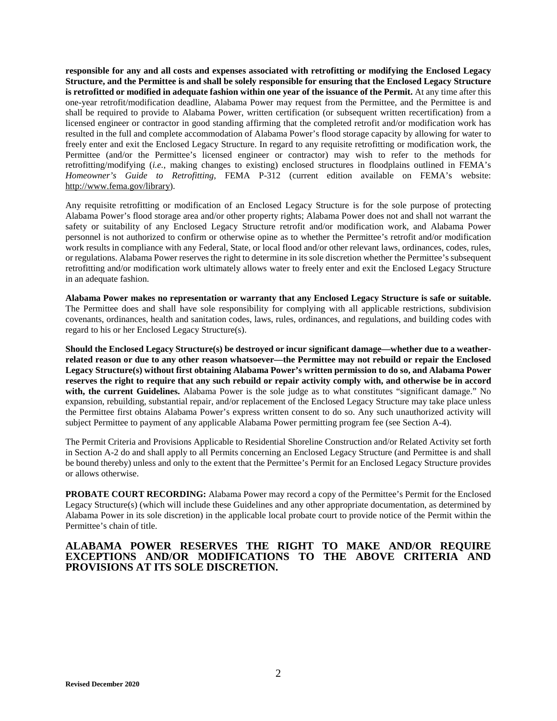**responsible for any and all costs and expenses associated with retrofitting or modifying the Enclosed Legacy Structure, and the Permittee is and shall be solely responsible for ensuring that the Enclosed Legacy Structure is retrofitted or modified in adequate fashion within one year of the issuance of the Permit.** At any time after this one-year retrofit/modification deadline, Alabama Power may request from the Permittee, and the Permittee is and shall be required to provide to Alabama Power, written certification (or subsequent written recertification) from a licensed engineer or contractor in good standing affirming that the completed retrofit and/or modification work has resulted in the full and complete accommodation of Alabama Power's flood storage capacity by allowing for water to freely enter and exit the Enclosed Legacy Structure. In regard to any requisite retrofitting or modification work, the Permittee (and/or the Permittee's licensed engineer or contractor) may wish to refer to the methods for retrofitting/modifying (*i.e.*, making changes to existing) enclosed structures in floodplains outlined in FEMA's *Homeowner's Guide to Retrofitting*, FEMA P-312 (current edition available on FEMA's website: [http://www.fema.gov/library\)](http://www.fema.gov/library).

Any requisite retrofitting or modification of an Enclosed Legacy Structure is for the sole purpose of protecting Alabama Power's flood storage area and/or other property rights; Alabama Power does not and shall not warrant the safety or suitability of any Enclosed Legacy Structure retrofit and/or modification work, and Alabama Power personnel is not authorized to confirm or otherwise opine as to whether the Permittee's retrofit and/or modification work results in compliance with any Federal, State, or local flood and/or other relevant laws, ordinances, codes, rules, or regulations. Alabama Power reserves the right to determine in its sole discretion whether the Permittee's subsequent retrofitting and/or modification work ultimately allows water to freely enter and exit the Enclosed Legacy Structure in an adequate fashion.

**Alabama Power makes no representation or warranty that any Enclosed Legacy Structure is safe or suitable.**  The Permittee does and shall have sole responsibility for complying with all applicable restrictions, subdivision covenants, ordinances, health and sanitation codes, laws, rules, ordinances, and regulations, and building codes with regard to his or her Enclosed Legacy Structure(s).

**Should the Enclosed Legacy Structure(s) be destroyed or incur significant damage—whether due to a weatherrelated reason or due to any other reason whatsoever—the Permittee may not rebuild or repair the Enclosed Legacy Structure(s) without first obtaining Alabama Power's written permission to do so, and Alabama Power reserves the right to require that any such rebuild or repair activity comply with, and otherwise be in accord**  with, the current Guidelines. Alabama Power is the sole judge as to what constitutes "significant damage." No expansion, rebuilding, substantial repair, and/or replacement of the Enclosed Legacy Structure may take place unless the Permittee first obtains Alabama Power's express written consent to do so. Any such unauthorized activity will subject Permittee to payment of any applicable Alabama Power permitting program fee (see Section A-4).

The Permit Criteria and Provisions Applicable to Residential Shoreline Construction and/or Related Activity set forth in Section A-2 do and shall apply to all Permits concerning an Enclosed Legacy Structure (and Permittee is and shall be bound thereby) unless and only to the extent that the Permittee's Permit for an Enclosed Legacy Structure provides or allows otherwise.

**PROBATE COURT RECORDING:** Alabama Power may record a copy of the Permittee's Permit for the Enclosed Legacy Structure(s) (which will include these Guidelines and any other appropriate documentation, as determined by Alabama Power in its sole discretion) in the applicable local probate court to provide notice of the Permit within the Permittee's chain of title.

#### **ALABAMA POWER RESERVES THE RIGHT TO MAKE AND/OR REQUIRE EXCEPTIONS AND/OR MODIFICATIONS TO THE ABOVE CRITERIA AND PROVISIONS AT ITS SOLE DISCRETION.**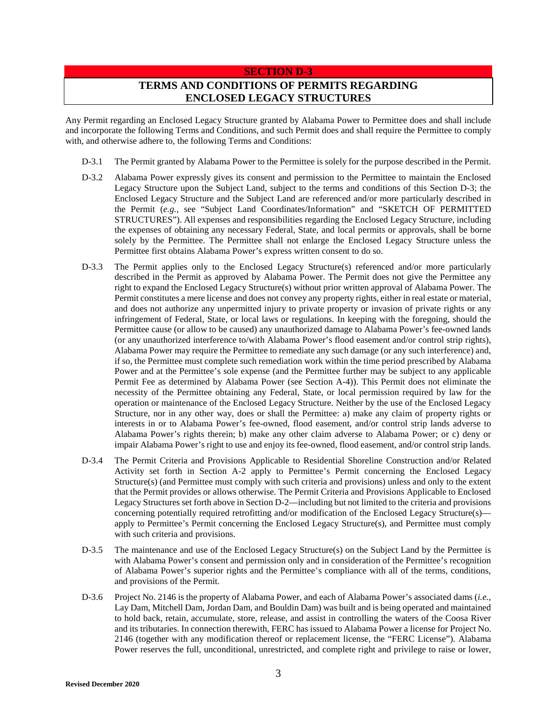#### **SECTION D-3**

# **TERMS AND CONDITIONS OF PERMITS REGARDING ENCLOSED LEGACY STRUCTURES**

Any Permit regarding an Enclosed Legacy Structure granted by Alabama Power to Permittee does and shall include and incorporate the following Terms and Conditions, and such Permit does and shall require the Permittee to comply with, and otherwise adhere to, the following Terms and Conditions:

- D-3.1 The Permit granted by Alabama Power to the Permittee is solely for the purpose described in the Permit.
- D-3.2 Alabama Power expressly gives its consent and permission to the Permittee to maintain the Enclosed Legacy Structure upon the Subject Land, subject to the terms and conditions of this Section D-3; the Enclosed Legacy Structure and the Subject Land are referenced and/or more particularly described in the Permit (*e.g.*, see "Subject Land Coordinates/Information" and "SKETCH OF PERMITTED STRUCTURES"). All expenses and responsibilities regarding the Enclosed Legacy Structure, including the expenses of obtaining any necessary Federal, State, and local permits or approvals, shall be borne solely by the Permittee. The Permittee shall not enlarge the Enclosed Legacy Structure unless the Permittee first obtains Alabama Power's express written consent to do so.
- D-3.3 The Permit applies only to the Enclosed Legacy Structure(s) referenced and/or more particularly described in the Permit as approved by Alabama Power. The Permit does not give the Permittee any right to expand the Enclosed Legacy Structure(s) without prior written approval of Alabama Power. The Permit constitutes a mere license and does not convey any property rights, either in real estate or material, and does not authorize any unpermitted injury to private property or invasion of private rights or any infringement of Federal, State, or local laws or regulations. In keeping with the foregoing, should the Permittee cause (or allow to be caused) any unauthorized damage to Alabama Power's fee-owned lands (or any unauthorized interference to/with Alabama Power's flood easement and/or control strip rights), Alabama Power may require the Permittee to remediate any such damage (or any such interference) and, if so, the Permittee must complete such remediation work within the time period prescribed by Alabama Power and at the Permittee's sole expense (and the Permittee further may be subject to any applicable Permit Fee as determined by Alabama Power (see Section A-4)). This Permit does not eliminate the necessity of the Permittee obtaining any Federal, State, or local permission required by law for the operation or maintenance of the Enclosed Legacy Structure. Neither by the use of the Enclosed Legacy Structure, nor in any other way, does or shall the Permittee: a) make any claim of property rights or interests in or to Alabama Power's fee-owned, flood easement, and/or control strip lands adverse to Alabama Power's rights therein; b) make any other claim adverse to Alabama Power; or c) deny or impair Alabama Power's right to use and enjoy its fee-owned, flood easement, and/or control strip lands.
- D-3.4 The Permit Criteria and Provisions Applicable to Residential Shoreline Construction and/or Related Activity set forth in Section A-2 apply to Permittee's Permit concerning the Enclosed Legacy Structure(s) (and Permittee must comply with such criteria and provisions) unless and only to the extent that the Permit provides or allows otherwise. The Permit Criteria and Provisions Applicable to Enclosed Legacy Structures set forth above in Section D-2—including but not limited to the criteria and provisions concerning potentially required retrofitting and/or modification of the Enclosed Legacy Structure(s) apply to Permittee's Permit concerning the Enclosed Legacy Structure(s), and Permittee must comply with such criteria and provisions.
- D-3.5 The maintenance and use of the Enclosed Legacy Structure(s) on the Subject Land by the Permittee is with Alabama Power's consent and permission only and in consideration of the Permittee's recognition of Alabama Power's superior rights and the Permittee's compliance with all of the terms, conditions, and provisions of the Permit.
- D-3.6 Project No. 2146 is the property of Alabama Power, and each of Alabama Power's associated dams (*i.e.*, Lay Dam, Mitchell Dam, Jordan Dam, and Bouldin Dam) was built and is being operated and maintained to hold back, retain, accumulate, store, release, and assist in controlling the waters of the Coosa River and its tributaries. In connection therewith, FERC has issued to Alabama Power a license for Project No. 2146 (together with any modification thereof or replacement license, the "FERC License"). Alabama Power reserves the full, unconditional, unrestricted, and complete right and privilege to raise or lower,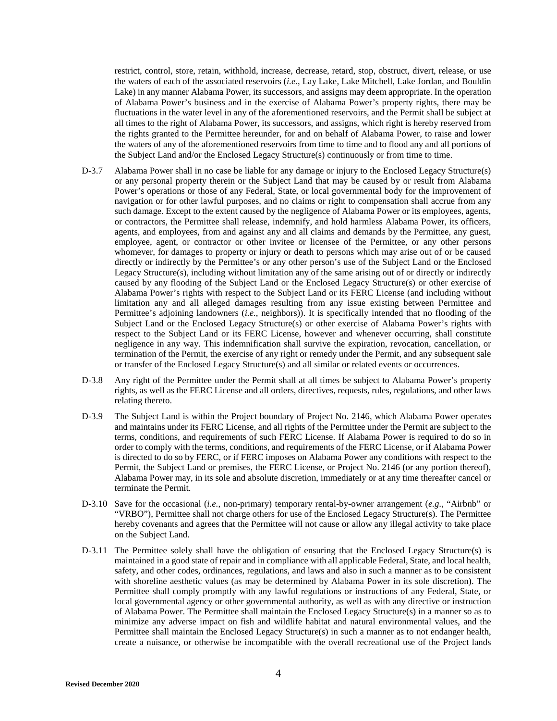restrict, control, store, retain, withhold, increase, decrease, retard, stop, obstruct, divert, release, or use the waters of each of the associated reservoirs (*i.e.*, Lay Lake, Lake Mitchell, Lake Jordan, and Bouldin Lake) in any manner Alabama Power, its successors, and assigns may deem appropriate. In the operation of Alabama Power's business and in the exercise of Alabama Power's property rights, there may be fluctuations in the water level in any of the aforementioned reservoirs, and the Permit shall be subject at all times to the right of Alabama Power, its successors, and assigns, which right is hereby reserved from the rights granted to the Permittee hereunder, for and on behalf of Alabama Power, to raise and lower the waters of any of the aforementioned reservoirs from time to time and to flood any and all portions of the Subject Land and/or the Enclosed Legacy Structure(s) continuously or from time to time.

- D-3.7 Alabama Power shall in no case be liable for any damage or injury to the Enclosed Legacy Structure(s) or any personal property therein or the Subject Land that may be caused by or result from Alabama Power's operations or those of any Federal, State, or local governmental body for the improvement of navigation or for other lawful purposes, and no claims or right to compensation shall accrue from any such damage. Except to the extent caused by the negligence of Alabama Power or its employees, agents, or contractors, the Permittee shall release, indemnify, and hold harmless Alabama Power, its officers, agents, and employees, from and against any and all claims and demands by the Permittee, any guest, employee, agent, or contractor or other invitee or licensee of the Permittee, or any other persons whomever, for damages to property or injury or death to persons which may arise out of or be caused directly or indirectly by the Permittee's or any other person's use of the Subject Land or the Enclosed Legacy Structure(s), including without limitation any of the same arising out of or directly or indirectly caused by any flooding of the Subject Land or the Enclosed Legacy Structure(s) or other exercise of Alabama Power's rights with respect to the Subject Land or its FERC License (and including without limitation any and all alleged damages resulting from any issue existing between Permittee and Permittee's adjoining landowners (*i.e.*, neighbors)). It is specifically intended that no flooding of the Subject Land or the Enclosed Legacy Structure(s) or other exercise of Alabama Power's rights with respect to the Subject Land or its FERC License, however and whenever occurring, shall constitute negligence in any way. This indemnification shall survive the expiration, revocation, cancellation, or termination of the Permit, the exercise of any right or remedy under the Permit, and any subsequent sale or transfer of the Enclosed Legacy Structure(s) and all similar or related events or occurrences.
- D-3.8 Any right of the Permittee under the Permit shall at all times be subject to Alabama Power's property rights, as well as the FERC License and all orders, directives, requests, rules, regulations, and other laws relating thereto.
- D-3.9 The Subject Land is within the Project boundary of Project No. 2146, which Alabama Power operates and maintains under its FERC License, and all rights of the Permittee under the Permit are subject to the terms, conditions, and requirements of such FERC License. If Alabama Power is required to do so in order to comply with the terms, conditions, and requirements of the FERC License, or if Alabama Power is directed to do so by FERC, or if FERC imposes on Alabama Power any conditions with respect to the Permit, the Subject Land or premises, the FERC License, or Project No. 2146 (or any portion thereof), Alabama Power may, in its sole and absolute discretion, immediately or at any time thereafter cancel or terminate the Permit.
- D-3.10 Save for the occasional (*i.e.*, non-primary) temporary rental-by-owner arrangement (*e.g.*, "Airbnb" or "VRBO"), Permittee shall not charge others for use of the Enclosed Legacy Structure(s). The Permittee hereby covenants and agrees that the Permittee will not cause or allow any illegal activity to take place on the Subject Land.
- D-3.11 The Permittee solely shall have the obligation of ensuring that the Enclosed Legacy Structure(s) is maintained in a good state of repair and in compliance with all applicable Federal, State, and local health, safety, and other codes, ordinances, regulations, and laws and also in such a manner as to be consistent with shoreline aesthetic values (as may be determined by Alabama Power in its sole discretion). The Permittee shall comply promptly with any lawful regulations or instructions of any Federal, State, or local governmental agency or other governmental authority, as well as with any directive or instruction of Alabama Power. The Permittee shall maintain the Enclosed Legacy Structure(s) in a manner so as to minimize any adverse impact on fish and wildlife habitat and natural environmental values, and the Permittee shall maintain the Enclosed Legacy Structure(s) in such a manner as to not endanger health, create a nuisance, or otherwise be incompatible with the overall recreational use of the Project lands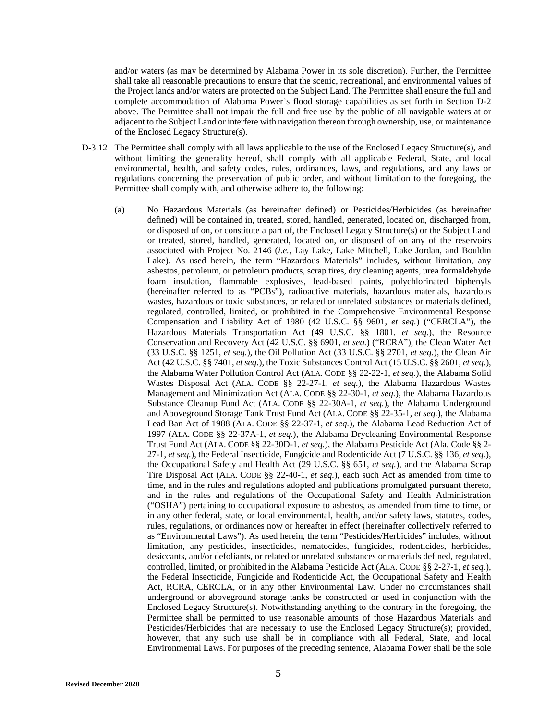and/or waters (as may be determined by Alabama Power in its sole discretion). Further, the Permittee shall take all reasonable precautions to ensure that the scenic, recreational, and environmental values of the Project lands and/or waters are protected on the Subject Land. The Permittee shall ensure the full and complete accommodation of Alabama Power's flood storage capabilities as set forth in Section D-2 above. The Permittee shall not impair the full and free use by the public of all navigable waters at or adjacent to the Subject Land or interfere with navigation thereon through ownership, use, or maintenance of the Enclosed Legacy Structure(s).

- D-3.12 The Permittee shall comply with all laws applicable to the use of the Enclosed Legacy Structure(s), and without limiting the generality hereof, shall comply with all applicable Federal, State, and local environmental, health, and safety codes, rules, ordinances, laws, and regulations, and any laws or regulations concerning the preservation of public order, and without limitation to the foregoing, the Permittee shall comply with, and otherwise adhere to, the following:
	- (a) No Hazardous Materials (as hereinafter defined) or Pesticides/Herbicides (as hereinafter defined) will be contained in, treated, stored, handled, generated, located on, discharged from, or disposed of on, or constitute a part of, the Enclosed Legacy Structure(s) or the Subject Land or treated, stored, handled, generated, located on, or disposed of on any of the reservoirs associated with Project No. 2146 (*i.e.*, Lay Lake, Lake Mitchell, Lake Jordan, and Bouldin Lake). As used herein, the term "Hazardous Materials" includes, without limitation, any asbestos, petroleum, or petroleum products, scrap tires, dry cleaning agents, urea formaldehyde foam insulation, flammable explosives, lead-based paints, polychlorinated biphenyls (hereinafter referred to as "PCBs"), radioactive materials, hazardous materials, hazardous wastes, hazardous or toxic substances, or related or unrelated substances or materials defined, regulated, controlled, limited, or prohibited in the Comprehensive Environmental Response Compensation and Liability Act of 1980 (42 U.S.C. §§ 9601, *et seq.*) ("CERCLA"), the Hazardous Materials Transportation Act (49 U.S.C. §§ 1801, *et seq.*), the Resource Conservation and Recovery Act (42 U.S.C. §§ 6901, *et seq.*) ("RCRA"), the Clean Water Act (33 U.S.C. §§ 1251, *et seq.*), the Oil Pollution Act (33 U.S.C. §§ 2701, *et seq.*), the Clean Air Act (42 U.S.C. §§ 7401, *et seq.*), the Toxic Substances Control Act (15 U.S.C. §§ 2601, *et seq.*), the Alabama Water Pollution Control Act (ALA. CODE §§ 22-22-1, *et seq.*), the Alabama Solid Wastes Disposal Act (ALA. CODE §§ 22-27-1, *et seq.*), the Alabama Hazardous Wastes Management and Minimization Act (ALA. CODE §§ 22-30-1, *et seq.*), the Alabama Hazardous Substance Cleanup Fund Act (ALA. CODE §§ 22-30A-1, *et seq.*), the Alabama Underground and Aboveground Storage Tank Trust Fund Act (ALA. CODE §§ 22-35-1, *et seq.*), the Alabama Lead Ban Act of 1988 (ALA. CODE §§ 22-37-1, *et seq.*), the Alabama Lead Reduction Act of 1997 (ALA. CODE §§ 22-37A-1, *et seq.*), the Alabama Drycleaning Environmental Response Trust Fund Act (ALA. CODE §§ 22-30D-1, *et seq.*), the Alabama Pesticide Act (Ala. Code §§ 2- 27-1, *et seq.*), the Federal Insecticide, Fungicide and Rodenticide Act (7 U.S.C. §§ 136, *et seq.*), the Occupational Safety and Health Act (29 U.S.C. §§ 651, *et seq.*), and the Alabama Scrap Tire Disposal Act (ALA. CODE §§ 22-40-1, *et seq.*), each such Act as amended from time to time, and in the rules and regulations adopted and publications promulgated pursuant thereto, and in the rules and regulations of the Occupational Safety and Health Administration ("OSHA") pertaining to occupational exposure to asbestos, as amended from time to time, or in any other federal, state, or local environmental, health, and/or safety laws, statutes, codes, rules, regulations, or ordinances now or hereafter in effect (hereinafter collectively referred to as "Environmental Laws"). As used herein, the term "Pesticides/Herbicides" includes, without limitation, any pesticides, insecticides, nematocides, fungicides, rodenticides, herbicides, desiccants, and/or defoliants, or related or unrelated substances or materials defined, regulated, controlled, limited, or prohibited in the Alabama Pesticide Act (ALA. CODE §§ 2-27-1, *et seq.*), the Federal Insecticide, Fungicide and Rodenticide Act, the Occupational Safety and Health Act, RCRA, CERCLA, or in any other Environmental Law. Under no circumstances shall underground or aboveground storage tanks be constructed or used in conjunction with the Enclosed Legacy Structure(s). Notwithstanding anything to the contrary in the foregoing, the Permittee shall be permitted to use reasonable amounts of those Hazardous Materials and Pesticides/Herbicides that are necessary to use the Enclosed Legacy Structure(s); provided, however, that any such use shall be in compliance with all Federal, State, and local Environmental Laws. For purposes of the preceding sentence, Alabama Power shall be the sole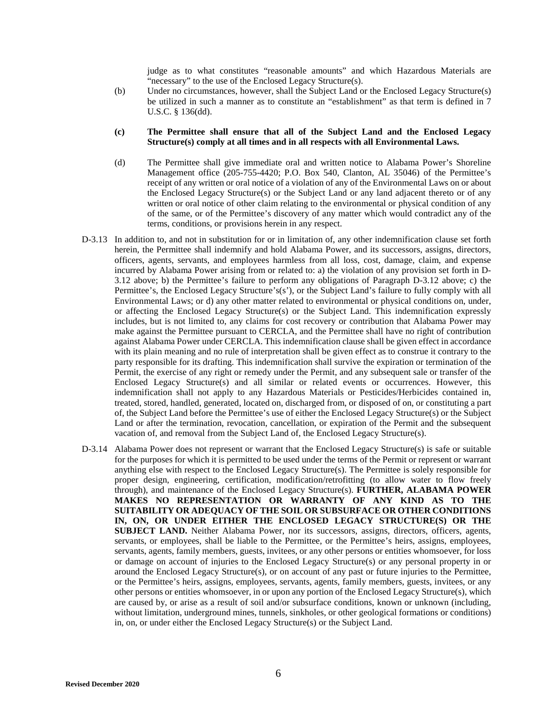judge as to what constitutes "reasonable amounts" and which Hazardous Materials are "necessary" to the use of the Enclosed Legacy Structure(s).

(b) Under no circumstances, however, shall the Subject Land or the Enclosed Legacy Structure(s) be utilized in such a manner as to constitute an "establishment" as that term is defined in 7 U.S.C. § 136(dd).

#### **(c) The Permittee shall ensure that all of the Subject Land and the Enclosed Legacy Structure(s) comply at all times and in all respects with all Environmental Laws.**

- (d) The Permittee shall give immediate oral and written notice to Alabama Power's Shoreline Management office (205-755-4420; P.O. Box 540, Clanton, AL 35046) of the Permittee's receipt of any written or oral notice of a violation of any of the Environmental Laws on or about the Enclosed Legacy Structure(s) or the Subject Land or any land adjacent thereto or of any written or oral notice of other claim relating to the environmental or physical condition of any of the same, or of the Permittee's discovery of any matter which would contradict any of the terms, conditions, or provisions herein in any respect.
- D-3.13 In addition to, and not in substitution for or in limitation of, any other indemnification clause set forth herein, the Permittee shall indemnify and hold Alabama Power, and its successors, assigns, directors, officers, agents, servants, and employees harmless from all loss, cost, damage, claim, and expense incurred by Alabama Power arising from or related to: a) the violation of any provision set forth in D-3.12 above; b) the Permittee's failure to perform any obligations of Paragraph D-3.12 above; c) the Permittee's, the Enclosed Legacy Structure's(s'), or the Subject Land's failure to fully comply with all Environmental Laws; or d) any other matter related to environmental or physical conditions on, under, or affecting the Enclosed Legacy Structure(s) or the Subject Land. This indemnification expressly includes, but is not limited to, any claims for cost recovery or contribution that Alabama Power may make against the Permittee pursuant to CERCLA, and the Permittee shall have no right of contribution against Alabama Power under CERCLA. This indemnification clause shall be given effect in accordance with its plain meaning and no rule of interpretation shall be given effect as to construe it contrary to the party responsible for its drafting. This indemnification shall survive the expiration or termination of the Permit, the exercise of any right or remedy under the Permit, and any subsequent sale or transfer of the Enclosed Legacy Structure(s) and all similar or related events or occurrences. However, this indemnification shall not apply to any Hazardous Materials or Pesticides/Herbicides contained in, treated, stored, handled, generated, located on, discharged from, or disposed of on, or constituting a part of, the Subject Land before the Permittee's use of either the Enclosed Legacy Structure(s) or the Subject Land or after the termination, revocation, cancellation, or expiration of the Permit and the subsequent vacation of, and removal from the Subject Land of, the Enclosed Legacy Structure(s).
- D-3.14 Alabama Power does not represent or warrant that the Enclosed Legacy Structure(s) is safe or suitable for the purposes for which it is permitted to be used under the terms of the Permit or represent or warrant anything else with respect to the Enclosed Legacy Structure(s). The Permittee is solely responsible for proper design, engineering, certification, modification/retrofitting (to allow water to flow freely through), and maintenance of the Enclosed Legacy Structure(s). **FURTHER, ALABAMA POWER MAKES NO REPRESENTATION OR WARRANTY OF ANY KIND AS TO THE SUITABILITY OR ADEQUACY OF THE SOIL OR SUBSURFACE OR OTHER CONDITIONS IN, ON, OR UNDER EITHER THE ENCLOSED LEGACY STRUCTURE(S) OR THE SUBJECT LAND.** Neither Alabama Power, nor its successors, assigns, directors, officers, agents, servants, or employees, shall be liable to the Permittee, or the Permittee's heirs, assigns, employees, servants, agents, family members, guests, invitees, or any other persons or entities whomsoever, for loss or damage on account of injuries to the Enclosed Legacy Structure(s) or any personal property in or around the Enclosed Legacy Structure(s), or on account of any past or future injuries to the Permittee, or the Permittee's heirs, assigns, employees, servants, agents, family members, guests, invitees, or any other persons or entities whomsoever, in or upon any portion of the Enclosed Legacy Structure(s), which are caused by, or arise as a result of soil and/or subsurface conditions, known or unknown (including, without limitation, underground mines, tunnels, sinkholes, or other geological formations or conditions) in, on, or under either the Enclosed Legacy Structure(s) or the Subject Land.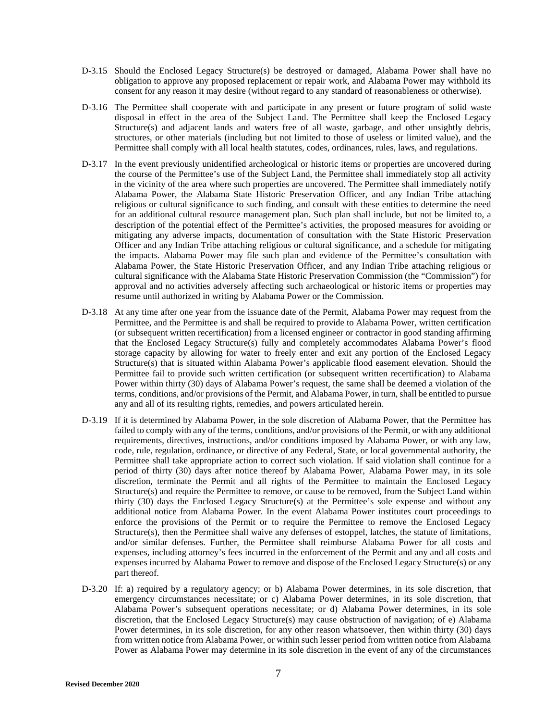- D-3.15 Should the Enclosed Legacy Structure(s) be destroyed or damaged, Alabama Power shall have no obligation to approve any proposed replacement or repair work, and Alabama Power may withhold its consent for any reason it may desire (without regard to any standard of reasonableness or otherwise).
- D-3.16 The Permittee shall cooperate with and participate in any present or future program of solid waste disposal in effect in the area of the Subject Land. The Permittee shall keep the Enclosed Legacy Structure(s) and adjacent lands and waters free of all waste, garbage, and other unsightly debris, structures, or other materials (including but not limited to those of useless or limited value), and the Permittee shall comply with all local health statutes, codes, ordinances, rules, laws, and regulations.
- D-3.17 In the event previously unidentified archeological or historic items or properties are uncovered during the course of the Permittee's use of the Subject Land, the Permittee shall immediately stop all activity in the vicinity of the area where such properties are uncovered. The Permittee shall immediately notify Alabama Power, the Alabama State Historic Preservation Officer, and any Indian Tribe attaching religious or cultural significance to such finding, and consult with these entities to determine the need for an additional cultural resource management plan. Such plan shall include, but not be limited to, a description of the potential effect of the Permittee's activities, the proposed measures for avoiding or mitigating any adverse impacts, documentation of consultation with the State Historic Preservation Officer and any Indian Tribe attaching religious or cultural significance, and a schedule for mitigating the impacts. Alabama Power may file such plan and evidence of the Permittee's consultation with Alabama Power, the State Historic Preservation Officer, and any Indian Tribe attaching religious or cultural significance with the Alabama State Historic Preservation Commission (the "Commission") for approval and no activities adversely affecting such archaeological or historic items or properties may resume until authorized in writing by Alabama Power or the Commission.
- D-3.18 At any time after one year from the issuance date of the Permit, Alabama Power may request from the Permittee, and the Permittee is and shall be required to provide to Alabama Power, written certification (or subsequent written recertification) from a licensed engineer or contractor in good standing affirming that the Enclosed Legacy Structure(s) fully and completely accommodates Alabama Power's flood storage capacity by allowing for water to freely enter and exit any portion of the Enclosed Legacy Structure(s) that is situated within Alabama Power's applicable flood easement elevation. Should the Permittee fail to provide such written certification (or subsequent written recertification) to Alabama Power within thirty (30) days of Alabama Power's request, the same shall be deemed a violation of the terms, conditions, and/or provisions of the Permit, and Alabama Power, in turn, shall be entitled to pursue any and all of its resulting rights, remedies, and powers articulated herein.
- D-3.19 If it is determined by Alabama Power, in the sole discretion of Alabama Power, that the Permittee has failed to comply with any of the terms, conditions, and/or provisions of the Permit, or with any additional requirements, directives, instructions, and/or conditions imposed by Alabama Power, or with any law, code, rule, regulation, ordinance, or directive of any Federal, State, or local governmental authority, the Permittee shall take appropriate action to correct such violation. If said violation shall continue for a period of thirty (30) days after notice thereof by Alabama Power, Alabama Power may, in its sole discretion, terminate the Permit and all rights of the Permittee to maintain the Enclosed Legacy Structure(s) and require the Permittee to remove, or cause to be removed, from the Subject Land within thirty (30) days the Enclosed Legacy Structure(s) at the Permittee's sole expense and without any additional notice from Alabama Power. In the event Alabama Power institutes court proceedings to enforce the provisions of the Permit or to require the Permittee to remove the Enclosed Legacy Structure(s), then the Permittee shall waive any defenses of estoppel, latches, the statute of limitations, and/or similar defenses. Further, the Permittee shall reimburse Alabama Power for all costs and expenses, including attorney's fees incurred in the enforcement of the Permit and any and all costs and expenses incurred by Alabama Power to remove and dispose of the Enclosed Legacy Structure(s) or any part thereof.
- D-3.20 If: a) required by a regulatory agency; or b) Alabama Power determines, in its sole discretion, that emergency circumstances necessitate; or c) Alabama Power determines, in its sole discretion, that Alabama Power's subsequent operations necessitate; or d) Alabama Power determines, in its sole discretion, that the Enclosed Legacy Structure(s) may cause obstruction of navigation; of e) Alabama Power determines, in its sole discretion, for any other reason whatsoever, then within thirty (30) days from written notice from Alabama Power, or within such lesser period from written notice from Alabama Power as Alabama Power may determine in its sole discretion in the event of any of the circumstances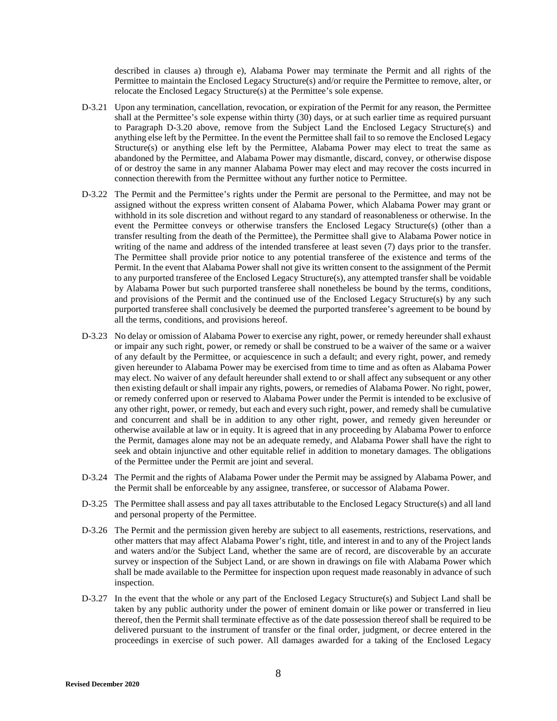described in clauses a) through e), Alabama Power may terminate the Permit and all rights of the Permittee to maintain the Enclosed Legacy Structure(s) and/or require the Permittee to remove, alter, or relocate the Enclosed Legacy Structure(s) at the Permittee's sole expense.

- D-3.21 Upon any termination, cancellation, revocation, or expiration of the Permit for any reason, the Permittee shall at the Permittee's sole expense within thirty (30) days, or at such earlier time as required pursuant to Paragraph D-3.20 above, remove from the Subject Land the Enclosed Legacy Structure(s) and anything else left by the Permittee. In the event the Permittee shall fail to so remove the Enclosed Legacy Structure(s) or anything else left by the Permittee, Alabama Power may elect to treat the same as abandoned by the Permittee, and Alabama Power may dismantle, discard, convey, or otherwise dispose of or destroy the same in any manner Alabama Power may elect and may recover the costs incurred in connection therewith from the Permittee without any further notice to Permittee.
- D-3.22 The Permit and the Permittee's rights under the Permit are personal to the Permittee, and may not be assigned without the express written consent of Alabama Power, which Alabama Power may grant or withhold in its sole discretion and without regard to any standard of reasonableness or otherwise. In the event the Permittee conveys or otherwise transfers the Enclosed Legacy Structure(s) (other than a transfer resulting from the death of the Permittee), the Permittee shall give to Alabama Power notice in writing of the name and address of the intended transferee at least seven (7) days prior to the transfer. The Permittee shall provide prior notice to any potential transferee of the existence and terms of the Permit. In the event that Alabama Power shall not give its written consent to the assignment of the Permit to any purported transferee of the Enclosed Legacy Structure(s), any attempted transfer shall be voidable by Alabama Power but such purported transferee shall nonetheless be bound by the terms, conditions, and provisions of the Permit and the continued use of the Enclosed Legacy Structure(s) by any such purported transferee shall conclusively be deemed the purported transferee's agreement to be bound by all the terms, conditions, and provisions hereof.
- D-3.23 No delay or omission of Alabama Power to exercise any right, power, or remedy hereunder shall exhaust or impair any such right, power, or remedy or shall be construed to be a waiver of the same or a waiver of any default by the Permittee, or acquiescence in such a default; and every right, power, and remedy given hereunder to Alabama Power may be exercised from time to time and as often as Alabama Power may elect. No waiver of any default hereunder shall extend to or shall affect any subsequent or any other then existing default or shall impair any rights, powers, or remedies of Alabama Power. No right, power, or remedy conferred upon or reserved to Alabama Power under the Permit is intended to be exclusive of any other right, power, or remedy, but each and every such right, power, and remedy shall be cumulative and concurrent and shall be in addition to any other right, power, and remedy given hereunder or otherwise available at law or in equity. It is agreed that in any proceeding by Alabama Power to enforce the Permit, damages alone may not be an adequate remedy, and Alabama Power shall have the right to seek and obtain injunctive and other equitable relief in addition to monetary damages. The obligations of the Permittee under the Permit are joint and several.
- D-3.24 The Permit and the rights of Alabama Power under the Permit may be assigned by Alabama Power, and the Permit shall be enforceable by any assignee, transferee, or successor of Alabama Power.
- D-3.25 The Permittee shall assess and pay all taxes attributable to the Enclosed Legacy Structure(s) and all land and personal property of the Permittee.
- D-3.26 The Permit and the permission given hereby are subject to all easements, restrictions, reservations, and other matters that may affect Alabama Power's right, title, and interest in and to any of the Project lands and waters and/or the Subject Land, whether the same are of record, are discoverable by an accurate survey or inspection of the Subject Land, or are shown in drawings on file with Alabama Power which shall be made available to the Permittee for inspection upon request made reasonably in advance of such inspection.
- D-3.27 In the event that the whole or any part of the Enclosed Legacy Structure(s) and Subject Land shall be taken by any public authority under the power of eminent domain or like power or transferred in lieu thereof, then the Permit shall terminate effective as of the date possession thereof shall be required to be delivered pursuant to the instrument of transfer or the final order, judgment, or decree entered in the proceedings in exercise of such power. All damages awarded for a taking of the Enclosed Legacy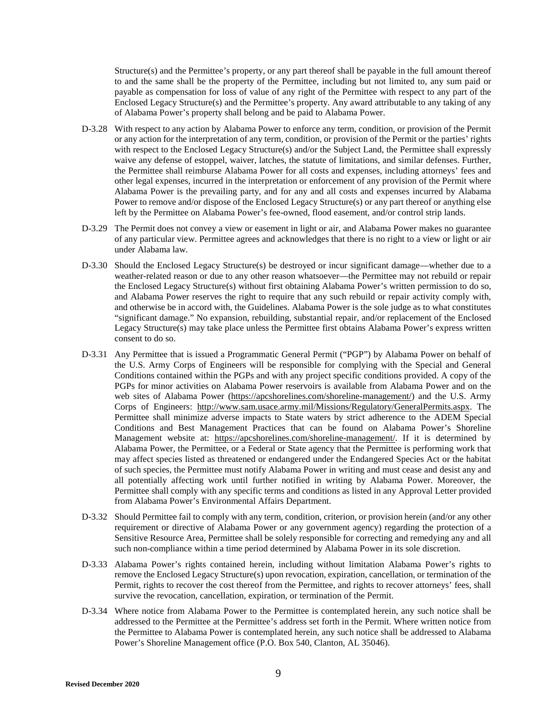Structure(s) and the Permittee's property, or any part thereof shall be payable in the full amount thereof to and the same shall be the property of the Permittee, including but not limited to, any sum paid or payable as compensation for loss of value of any right of the Permittee with respect to any part of the Enclosed Legacy Structure(s) and the Permittee's property. Any award attributable to any taking of any of Alabama Power's property shall belong and be paid to Alabama Power.

- D-3.28 With respect to any action by Alabama Power to enforce any term, condition, or provision of the Permit or any action for the interpretation of any term, condition, or provision of the Permit or the parties' rights with respect to the Enclosed Legacy Structure(s) and/or the Subject Land, the Permittee shall expressly waive any defense of estoppel, waiver, latches, the statute of limitations, and similar defenses. Further, the Permittee shall reimburse Alabama Power for all costs and expenses, including attorneys' fees and other legal expenses, incurred in the interpretation or enforcement of any provision of the Permit where Alabama Power is the prevailing party, and for any and all costs and expenses incurred by Alabama Power to remove and/or dispose of the Enclosed Legacy Structure(s) or any part thereof or anything else left by the Permittee on Alabama Power's fee-owned, flood easement, and/or control strip lands.
- D-3.29 The Permit does not convey a view or easement in light or air, and Alabama Power makes no guarantee of any particular view. Permittee agrees and acknowledges that there is no right to a view or light or air under Alabama law.
- D-3.30 Should the Enclosed Legacy Structure(s) be destroyed or incur significant damage—whether due to a weather-related reason or due to any other reason whatsoever—the Permittee may not rebuild or repair the Enclosed Legacy Structure(s) without first obtaining Alabama Power's written permission to do so, and Alabama Power reserves the right to require that any such rebuild or repair activity comply with, and otherwise be in accord with, the Guidelines. Alabama Power is the sole judge as to what constitutes "significant damage." No expansion, rebuilding, substantial repair, and/or replacement of the Enclosed Legacy Structure(s) may take place unless the Permittee first obtains Alabama Power's express written consent to do so.
- D-3.31 Any Permittee that is issued a Programmatic General Permit ("PGP") by Alabama Power on behalf of the U.S. Army Corps of Engineers will be responsible for complying with the Special and General Conditions contained within the PGPs and with any project specific conditions provided. A copy of the PGPs for minor activities on A[labama Power reservoirs is available from Alabam](https://apcshorelines.com/shoreline-management/)a Power and on the web sites of Alabama Power (https://apcshorelines.com/shoreline-management/) and the U.S. Army Corps of Engineers: http://www.sam.usace.army.mil/Missions/Regulatory/GeneralPermits.aspx. The Permittee shall minimize adverse impacts to State waters by strict adherence to the ADEM Special Conditions and Best Management Practices that can be found on Alabama Power's Shoreline Management website at: https://apcshorelines.com/shoreline-management/. If it is determined by Alabama Power, the Permittee, or a Federal or State agency that the Permittee is performing work that may affect species listed as threatened or endangered under the Endangered Species Act or the habitat of such species, the Permittee must notify Alabama Power in writing and must cease and desist any and all potentially affecting work until further notified in writing by Alabama Power. Moreover, the Permittee shall comply with any specific terms and conditions as listed in any Approval Letter provided from Alabama Power's Environmental Affairs Department.
- D-3.32 Should Permittee fail to comply with any term, condition, criterion, or provision herein (and/or any other requirement or directive of Alabama Power or any government agency) regarding the protection of a Sensitive Resource Area, Permittee shall be solely responsible for correcting and remedying any and all such non-compliance within a time period determined by Alabama Power in its sole discretion.
- D-3.33 Alabama Power's rights contained herein, including without limitation Alabama Power's rights to remove the Enclosed Legacy Structure(s) upon revocation, expiration, cancellation, or termination of the Permit, rights to recover the cost thereof from the Permittee, and rights to recover attorneys' fees, shall survive the revocation, cancellation, expiration, or termination of the Permit.
- D-3.34 Where notice from Alabama Power to the Permittee is contemplated herein, any such notice shall be addressed to the Permittee at the Permittee's address set forth in the Permit. Where written notice from the Permittee to Alabama Power is contemplated herein, any such notice shall be addressed to Alabama Power's Shoreline Management office (P.O. Box 540, Clanton, AL 35046).